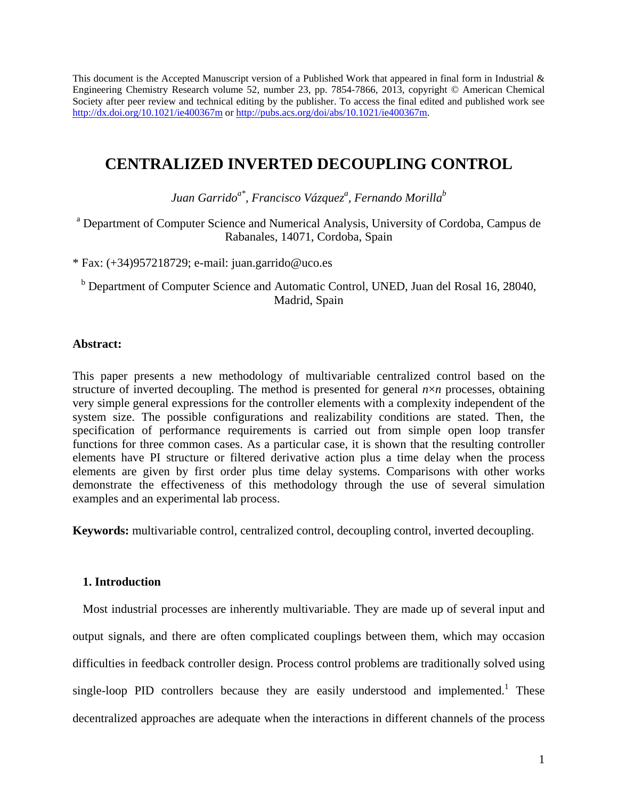This document is the Accepted Manuscript version of a Published Work that appeared in final form in Industrial  $\&$ Engineering Chemistry Research volume 52, number 23, pp. 7854-7866, 2013, copyright © American Chemical Society after peer review and technical editing by the publisher. To access the final edited and published work see <http://dx.doi.org/10.1021/ie400367m> or [http://pubs.acs.org/doi/abs/10.1021/ie400367m.](http://pubs.acs.org/doi/abs/10.1021/ie400367m) 

# **CENTRALIZED INVERTED DECOUPLING CONTROL**

Juan Garrido<sup>a\*</sup>, Francisco Vázquez<sup>a</sup>, Fernando Morilla<sup>b</sup>

<sup>a</sup> Department of Computer Science and Numerical Analysis, University of Cordoba, Campus de Rabanales, 14071, Cordoba, Spain

\* Fax: (+34)957218729; e-mail: juan.garrido@uco.es

<sup>b</sup> Department of Computer Science and Automatic Control, UNED, Juan del Rosal 16, 28040, Madrid, Spain

# **Abstract:**

This paper presents a new methodology of multivariable centralized control based on the structure of inverted decoupling. The method is presented for general  $n \times n$  processes, obtaining very simple general expressions for the controller elements with a complexity independent of the system size. The possible configurations and realizability conditions are stated. Then, the specification of performance requirements is carried out from simple open loop transfer functions for three common cases. As a particular case, it is shown that the resulting controller elements have PI structure or filtered derivative action plus a time delay when the process elements are given by first order plus time delay systems. Comparisons with other works demonstrate the effectiveness of this methodology through the use of several simulation examples and an experimental lab process.

**Keywords:** multivariable control, centralized control, decoupling control, inverted decoupling.

# **1. Introduction**

Most industrial processes are inherently multivariable. They are made up of several input and output signals, and there are often complicated couplings between them, which may occasion difficulties in feedback controller design. Process control problems are traditionally solved using single-loop PID controllers because they are easily understood and implemented.<sup>[1](#page-35-0)</sup> These decentralized approaches are adequate when the interactions in different channels of the process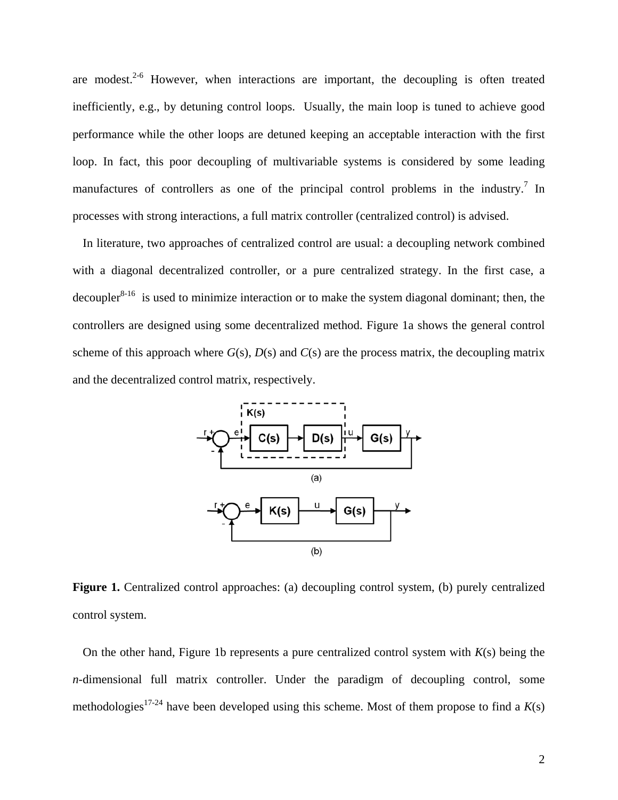are modest. $2-6$  However, when interactions are important, the decoupling is often treated inefficiently, e.g., by detuning control loops. Usually, the main loop is tuned to achieve good performance while the other loops are detuned keeping an acceptable interaction with the first loop. In fact, this poor decoupling of multivariable systems is considered by some leading manufactures of controllers as one of the principal control problems in the industry.<sup>[7](#page-35-2)</sup> In processes with strong interactions, a full matrix controller (centralized control) is advised.

In literature, two approaches of centralized control are usual: a decoupling network combined with a diagonal decentralized controller, or a pure centralized strategy. In the first case, a decoupler<sup>[8-16](#page-35-3)</sup> is used to minimize interaction or to make the system diagonal dominant; then, the controllers are designed using some decentralized method. Figure 1a shows the general control scheme of this approach where  $G(s)$ ,  $D(s)$  and  $C(s)$  are the process matrix, the decoupling matrix and the decentralized control matrix, respectively.



**Figure 1.** Centralized control approaches: (a) decoupling control system, (b) purely centralized control system.

On the other hand, Figure 1b represents a pure centralized control system with  $K(s)$  being the *n*-dimensional full matrix controller. Under the paradigm of decoupling control, some methodologies<sup>[17-24](#page-36-0)</sup> have been developed using this scheme. Most of them propose to find a  $K(s)$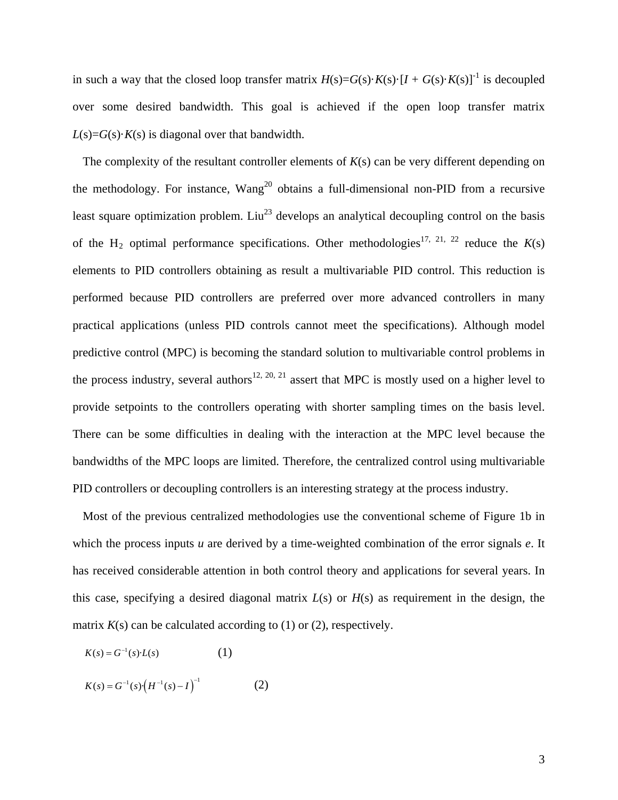in such a way that the closed loop transfer matrix  $H(s) = G(s) \cdot K(s) \cdot [I + G(s) \cdot K(s)]^{-1}$  is decoupled over some desired bandwidth. This goal is achieved if the open loop transfer matrix  $L(s) = G(s) \cdot K(s)$  is diagonal over that bandwidth.

The complexity of the resultant controller elements of *K*(s) can be very different depending on the methodology. For instance, Wang<sup>20</sup> obtains a full-dimensional non-PID from a recursive least square optimization problem. Liu<sup>[23](#page-36-2)</sup> develops an analytical decoupling control on the basis of the H<sub>2</sub> optimal performance specifications. Other methodologies<sup>[17,](#page-36-0) [21,](#page-36-3) [22](#page-36-4)</sup> reduce the  $K(s)$ elements to PID controllers obtaining as result a multivariable PID control. This reduction is performed because PID controllers are preferred over more advanced controllers in many practical applications (unless PID controls cannot meet the specifications). Although model predictive control (MPC) is becoming the standard solution to multivariable control problems in the process industry, several authors<sup>[12,](#page-36-5) [20,](#page-36-1) [21](#page-36-3)</sup> assert that MPC is mostly used on a higher level to provide setpoints to the controllers operating with shorter sampling times on the basis level. There can be some difficulties in dealing with the interaction at the MPC level because the bandwidths of the MPC loops are limited. Therefore, the centralized control using multivariable PID controllers or decoupling controllers is an interesting strategy at the process industry.

Most of the previous centralized methodologies use the conventional scheme of Figure 1b in which the process inputs *u* are derived by a time-weighted combination of the error signals *e*. It has received considerable attention in both control theory and applications for several years. In this case, specifying a desired diagonal matrix *L*(s) or *H*(s) as requirement in the design, the matrix  $K(s)$  can be calculated according to (1) or (2), respectively.

$$
K(s) = G^{-1}(s) \cdot L(s) \tag{1}
$$

$$
K(s) = G^{-1}(s) \cdot \left(H^{-1}(s) - I\right)^{-1}
$$
 (2)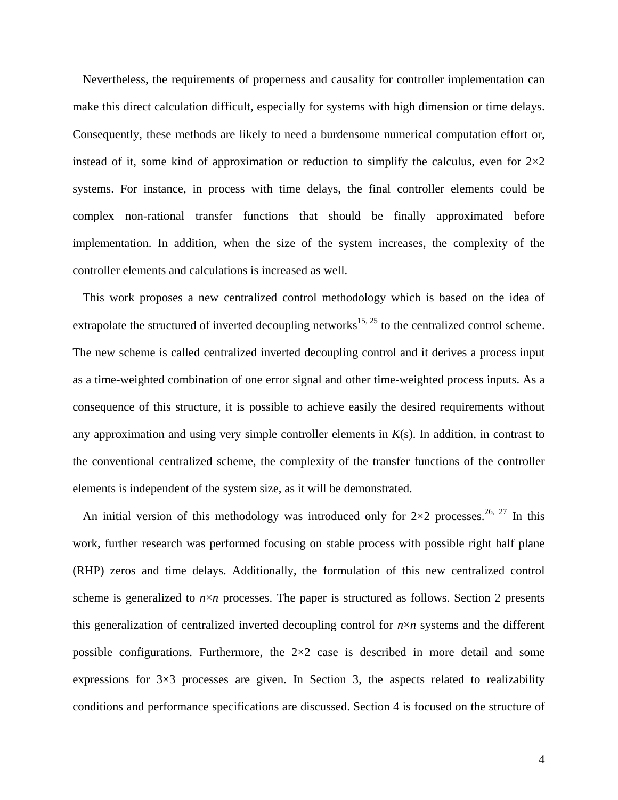Nevertheless, the requirements of properness and causality for controller implementation can make this direct calculation difficult, especially for systems with high dimension or time delays. Consequently, these methods are likely to need a burdensome numerical computation effort or, instead of it, some kind of approximation or reduction to simplify the calculus, even for  $2\times 2$ systems. For instance, in process with time delays, the final controller elements could be complex non-rational transfer functions that should be finally approximated before implementation. In addition, when the size of the system increases, the complexity of the controller elements and calculations is increased as well.

This work proposes a new centralized control methodology which is based on the idea of extrapolate the structured of inverted decoupling networks<sup>[15,](#page-36-6) [25](#page-36-7)</sup> to the centralized control scheme. The new scheme is called centralized inverted decoupling control and it derives a process input as a time-weighted combination of one error signal and other time-weighted process inputs. As a consequence of this structure, it is possible to achieve easily the desired requirements without any approximation and using very simple controller elements in *K*(s). In addition, in contrast to the conventional centralized scheme, the complexity of the transfer functions of the controller elements is independent of the system size, as it will be demonstrated.

An initial version of this methodology was introduced only for  $2\times 2$  processes.<sup>26, [27](#page-36-9)</sup> In this work, further research was performed focusing on stable process with possible right half plane (RHP) zeros and time delays. Additionally, the formulation of this new centralized control scheme is generalized to  $n \times n$  processes. The paper is structured as follows. Section 2 presents this generalization of centralized inverted decoupling control for  $n \times n$  systems and the different possible configurations. Furthermore, the  $2\times 2$  case is described in more detail and some expressions for  $3\times3$  processes are given. In Section 3, the aspects related to realizability conditions and performance specifications are discussed. Section 4 is focused on the structure of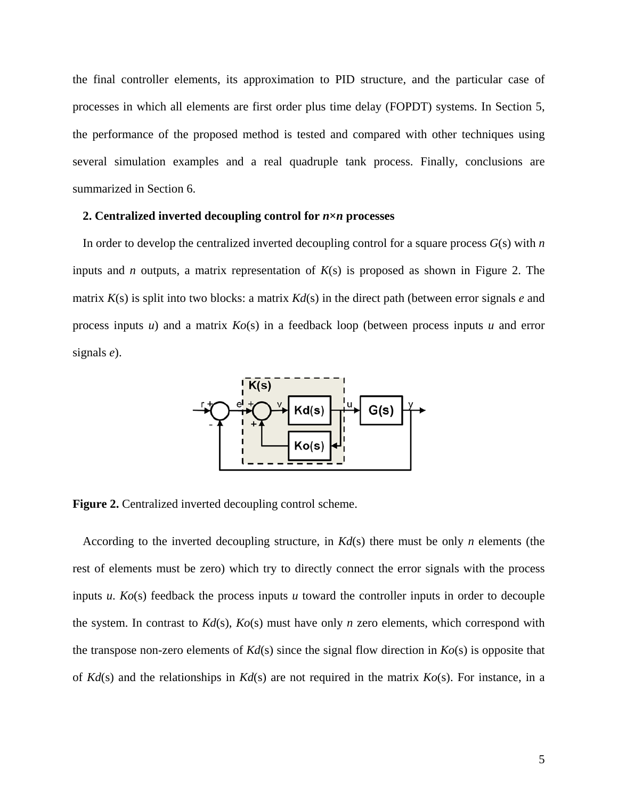the final controller elements, its approximation to PID structure, and the particular case of processes in which all elements are first order plus time delay (FOPDT) systems. In Section 5, the performance of the proposed method is tested and compared with other techniques using several simulation examples and a real quadruple tank process. Finally, conclusions are summarized in Section 6.

## **2. Centralized inverted decoupling control for** *n***×***n* **processes**

In order to develop the centralized inverted decoupling control for a square process *G*(s) with *n* inputs and *n* outputs, a matrix representation of *K*(s) is proposed as shown in Figure 2. The matrix *K*(s) is split into two blocks: a matrix *Kd*(s) in the direct path (between error signals *e* and process inputs *u*) and a matrix *Ko*(s) in a feedback loop (between process inputs *u* and error signals *e*).



**Figure 2.** Centralized inverted decoupling control scheme.

According to the inverted decoupling structure, in *Kd*(s) there must be only *n* elements (the rest of elements must be zero) which try to directly connect the error signals with the process inputs *u*. *Ko*(s) feedback the process inputs *u* toward the controller inputs in order to decouple the system. In contrast to *Kd*(s), *Ko*(s) must have only *n* zero elements, which correspond with the transpose non-zero elements of  $Kd(s)$  since the signal flow direction in  $Ko(s)$  is opposite that of *Kd*(s) and the relationships in *Kd*(s) are not required in the matrix *Ko*(s). For instance, in a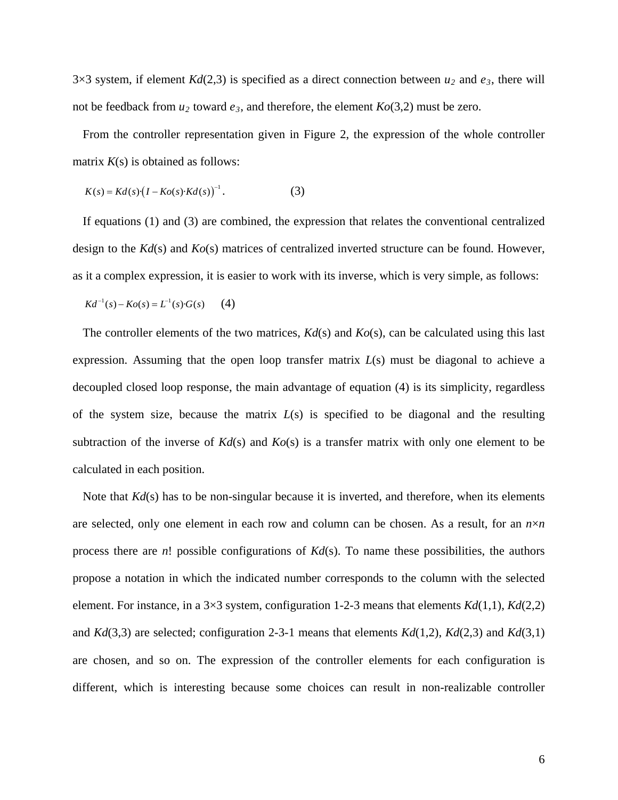3×3 system, if element  $Kd(2,3)$  is specified as a direct connection between  $u_2$  and  $e_3$ , there will not be feedback from  $u_2$  toward  $e_3$ , and therefore, the element  $Ko(3,2)$  must be zero.

From the controller representation given in Figure 2, the expression of the whole controller matrix  $K(s)$  is obtained as follows:

$$
K(s) = Kd(s)\left(I - Ko(s) \cdot Kd(s)\right)^{-1}.
$$
 (3)

If equations (1) and (3) are combined, the expression that relates the conventional centralized design to the *Kd*(s) and *Ko*(s) matrices of centralized inverted structure can be found. However, as it a complex expression, it is easier to work with its inverse, which is very simple, as follows:

$$
Kd^{-1}(s) - Ko(s) = L^{-1}(s) \cdot G(s) \qquad (4)
$$

The controller elements of the two matrices, *Kd*(s) and *Ko*(s), can be calculated using this last expression. Assuming that the open loop transfer matrix *L*(s) must be diagonal to achieve a decoupled closed loop response, the main advantage of equation (4) is its simplicity, regardless of the system size, because the matrix *L*(s) is specified to be diagonal and the resulting subtraction of the inverse of  $Kd(s)$  and  $Ko(s)$  is a transfer matrix with only one element to be calculated in each position.

Note that *Kd*(s) has to be non-singular because it is inverted, and therefore, when its elements are selected, only one element in each row and column can be chosen. As a result, for an  $n \times n$ process there are *n*! possible configurations of *Kd*(s). To name these possibilities, the authors propose a notation in which the indicated number corresponds to the column with the selected element. For instance, in a 3×3 system, configuration 1-2-3 means that elements *Kd*(1,1), *Kd*(2,2) and *Kd*(3,3) are selected; configuration 2-3-1 means that elements *Kd*(1,2), *Kd*(2,3) and *Kd*(3,1) are chosen, and so on. The expression of the controller elements for each configuration is different, which is interesting because some choices can result in non-realizable controller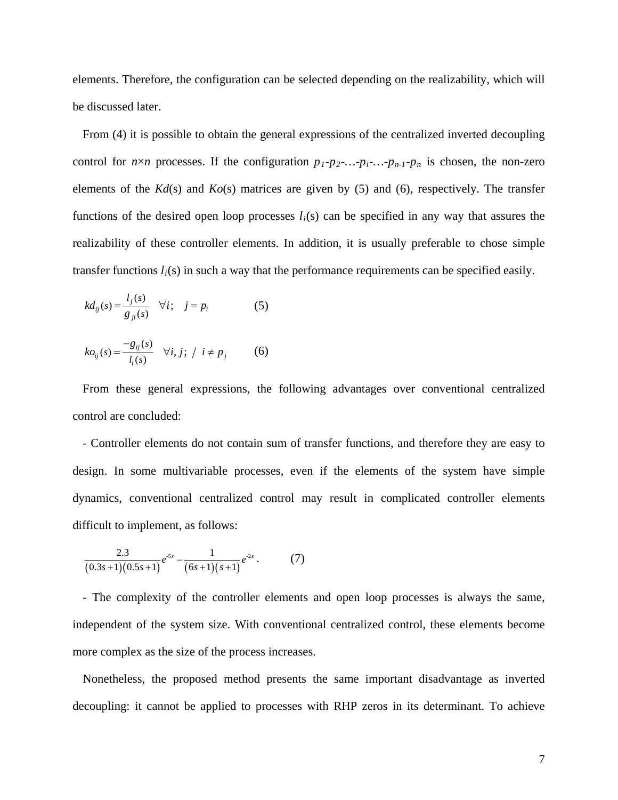elements. Therefore, the configuration can be selected depending on the realizability, which will be discussed later.

From (4) it is possible to obtain the general expressions of the centralized inverted decoupling control for  $n \times n$  processes. If the configuration  $p_1-p_2$ -...- $p_i$ -...- $p_{n-1}-p_n$  is chosen, the non-zero elements of the *Kd*(s) and *Ko*(s) matrices are given by (5) and (6), respectively. The transfer functions of the desired open loop processes  $l_i(s)$  can be specified in any way that assures the realizability of these controller elements. In addition, it is usually preferable to chose simple transfer functions *li*(s) in such a way that the performance requirements can be specified easily.

$$
kd_{ij}(s) = \frac{l_j(s)}{g_{ji}(s)} \quad \forall i; \quad j = p_i \tag{5}
$$

$$
ko_{ij}(s) = \frac{-g_{ij}(s)}{l_i(s)} \quad \forall i, j; / i \neq p_j \tag{6}
$$

From these general expressions, the following advantages over conventional centralized control are concluded:

- Controller elements do not contain sum of transfer functions, and therefore they are easy to design. In some multivariable processes, even if the elements of the system have simple dynamics, conventional centralized control may result in complicated controller elements difficult to implement, as follows:

$$
\frac{2.3}{(0.3s+1)(0.5s+1)}e^{-5s} - \frac{1}{(6s+1)(s+1)}e^{-2s}.
$$
 (7)

- The complexity of the controller elements and open loop processes is always the same, independent of the system size. With conventional centralized control, these elements become more complex as the size of the process increases.

Nonetheless, the proposed method presents the same important disadvantage as inverted decoupling: it cannot be applied to processes with RHP zeros in its determinant. To achieve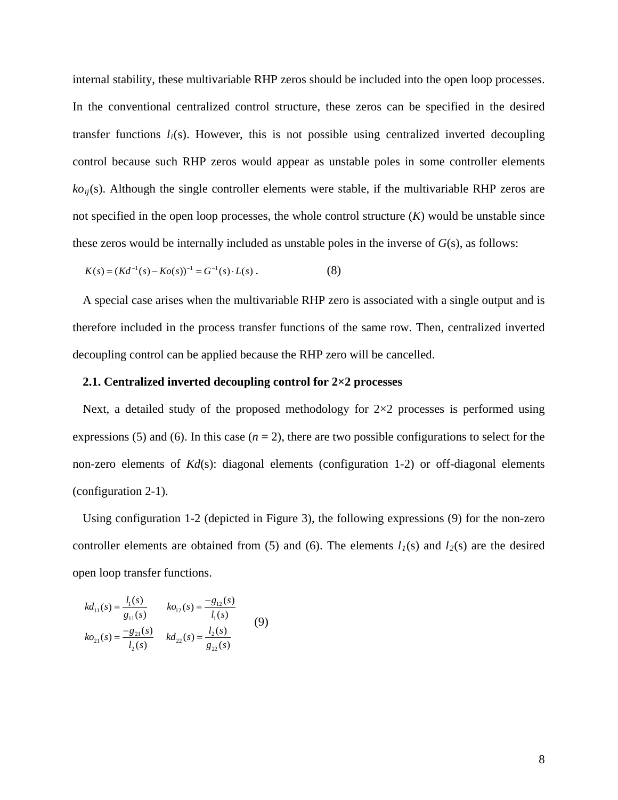internal stability, these multivariable RHP zeros should be included into the open loop processes. In the conventional centralized control structure, these zeros can be specified in the desired transfer functions  $l_i(s)$ . However, this is not possible using centralized inverted decoupling control because such RHP zeros would appear as unstable poles in some controller elements  $ko_{ii}(s)$ . Although the single controller elements were stable, if the multivariable RHP zeros are not specified in the open loop processes, the whole control structure (*K*) would be unstable since these zeros would be internally included as unstable poles in the inverse of *G*(s), as follows:

$$
K(s) = (Kd^{-1}(s) - Ko(s))^{-1} = G^{-1}(s) \cdot L(s).
$$
 (8)

A special case arises when the multivariable RHP zero is associated with a single output and is therefore included in the process transfer functions of the same row. Then, centralized inverted decoupling control can be applied because the RHP zero will be cancelled.

### **2.1. Centralized inverted decoupling control for 2×2 processes**

Next, a detailed study of the proposed methodology for  $2\times 2$  processes is performed using expressions (5) and (6). In this case  $(n = 2)$ , there are two possible configurations to select for the non-zero elements of *Kd*(s): diagonal elements (configuration 1-2) or off-diagonal elements (configuration 2-1).

Using configuration 1-2 (depicted in Figure 3), the following expressions (9) for the non-zero controller elements are obtained from (5) and (6). The elements  $l_1(s)$  and  $l_2(s)$  are the desired open loop transfer functions.

$$
kd_{11}(s) = \frac{l_1(s)}{g_{11}(s)} \qquad ko_{12}(s) = \frac{-g_{12}(s)}{l_1(s)}
$$
  
\n
$$
ko_{21}(s) = \frac{-g_{21}(s)}{l_2(s)} \qquad kd_{22}(s) = \frac{l_2(s)}{g_{22}(s)}
$$
 (9)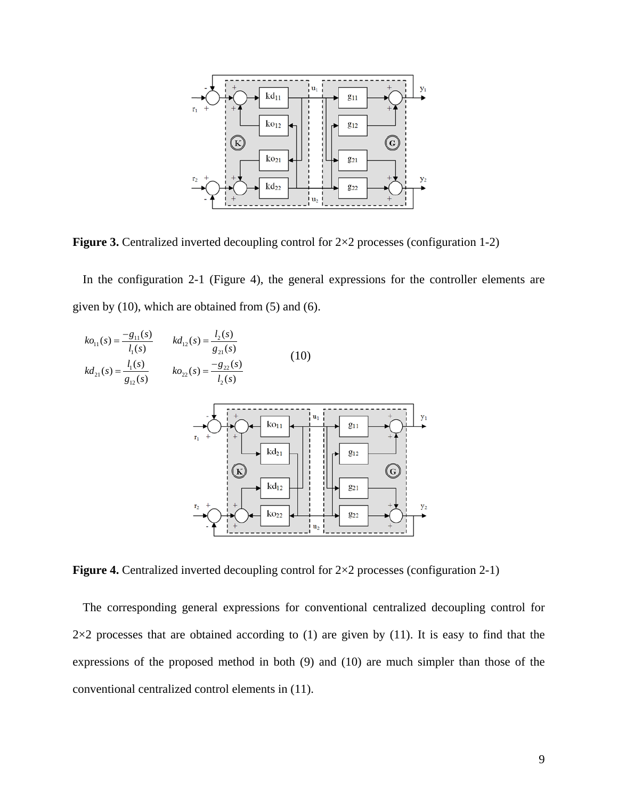

**Figure 3.** Centralized inverted decoupling control for  $2\times 2$  processes (configuration 1-2)

In the configuration 2-1 (Figure 4), the general expressions for the controller elements are given by (10), which are obtained from (5) and (6).



**Figure 4.** Centralized inverted decoupling control for  $2\times 2$  processes (configuration 2-1)

The corresponding general expressions for conventional centralized decoupling control for  $2\times2$  processes that are obtained according to (1) are given by (11). It is easy to find that the expressions of the proposed method in both (9) and (10) are much simpler than those of the conventional centralized control elements in (11).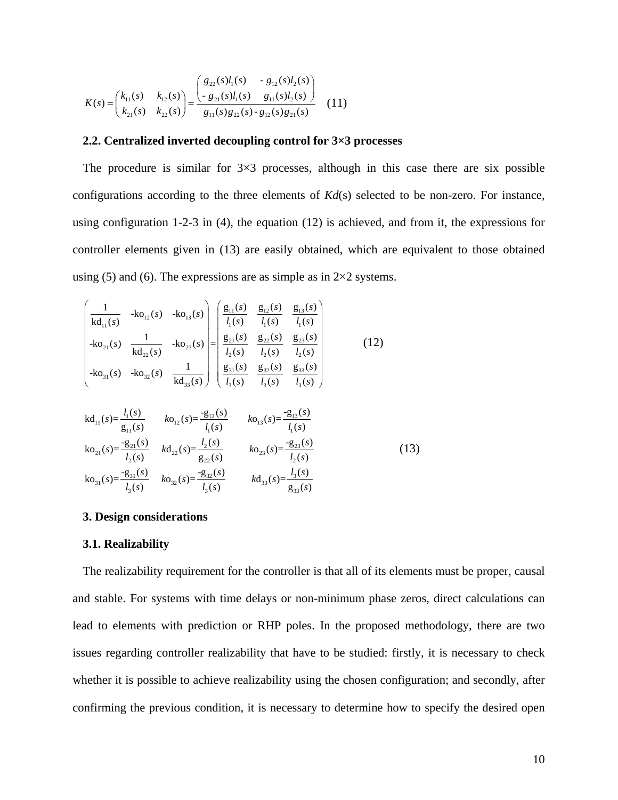$$
K(s) = \begin{pmatrix} k_{11}(s) & k_{12}(s) \\ k_{21}(s) & k_{22}(s) \end{pmatrix} = \frac{\begin{pmatrix} g_{22}(s)l_1(s) & -g_{12}(s)l_2(s) \\ -g_{21}(s)l_1(s) & g_{11}(s)l_2(s) \end{pmatrix}}{g_{11}(s)g_{22}(s) - g_{12}(s)g_{21}(s)} \quad (11)
$$

### **2.2. Centralized inverted decoupling control for 3×3 processes**

The procedure is similar for  $3\times3$  processes, although in this case there are six possible configurations according to the three elements of *Kd*(s) selected to be non-zero. For instance, using configuration 1-2-3 in (4), the equation (12) is achieved, and from it, the expressions for controller elements given in (13) are easily obtained, which are equivalent to those obtained using (5) and (6). The expressions are as simple as in  $2\times 2$  systems.

$$
\begin{pmatrix}\n1 & k o_{12}(s) & -k o_{13}(s) \\
k d_{11}(s) & 1 & l_{1}(s) & l_{1}(s) \\
-k o_{21}(s) & \frac{1}{k d_{22}(s)} & -k o_{23}(s)\n\end{pmatrix}\n\begin{pmatrix}\n\frac{g_{11}(s)}{l_1(s)} & \frac{g_{12}(s)}{l_1(s)} & \frac{g_{13}(s)}{l_1(s)} \\
\frac{g_{21}(s)}{l_2(s)} & \frac{g_{22}(s)}{l_2(s)} & \frac{g_{23}(s)}{l_2(s)} \\
k o_{31}(s) & -k o_{32}(s) & \frac{1}{k d_{33}(s)}\n\end{pmatrix}\n\begin{pmatrix}\n\frac{g_{11}(s)}{l_1(s)} & \frac{g_{12}(s)}{l_2(s)} & \frac{g_{13}(s)}{l_2(s)} \\
\frac{g_{31}(s)}{l_3(s)} & \frac{g_{32}(s)}{l_3(s)} & \frac{g_{33}(s)}{l_3(s)}\n\end{pmatrix}
$$
\n(12)

$$
kd_{11}(s) = \frac{l_1(s)}{g_{11}(s)} \t k o_{12}(s) = \frac{-g_{12}(s)}{l_1(s)} \t k o_{13}(s) = \frac{-g_{13}(s)}{l_1(s)}
$$
  
\n
$$
k o_{21}(s) = \frac{-g_{21}(s)}{l_2(s)} \t k d_{22}(s) = \frac{l_2(s)}{g_{22}(s)} \t k o_{23}(s) = \frac{-g_{23}(s)}{l_2(s)}
$$
  
\n
$$
k o_{31}(s) = \frac{-g_{31}(s)}{l_3(s)} \t k o_{32}(s) = \frac{-g_{32}(s)}{l_3(s)} \t k d_{33}(s) = \frac{l_3(s)}{g_{33}(s)}
$$
 (13)

### **3. Design considerations**

#### **3.1. Realizability**

The realizability requirement for the controller is that all of its elements must be proper, causal and stable. For systems with time delays or non-minimum phase zeros, direct calculations can lead to elements with prediction or RHP poles. In the proposed methodology, there are two issues regarding controller realizability that have to be studied: firstly, it is necessary to check whether it is possible to achieve realizability using the chosen configuration; and secondly, after confirming the previous condition, it is necessary to determine how to specify the desired open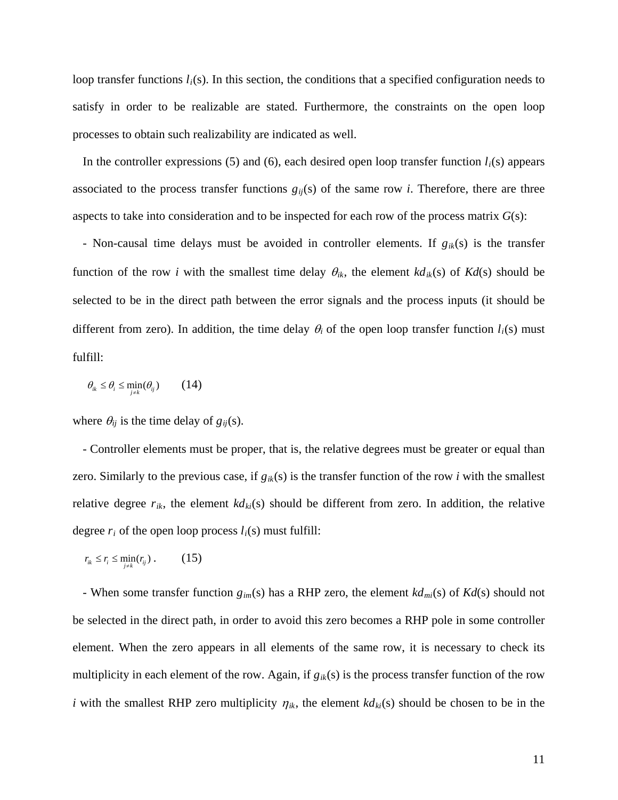loop transfer functions  $l_i(s)$ . In this section, the conditions that a specified configuration needs to satisfy in order to be realizable are stated. Furthermore, the constraints on the open loop processes to obtain such realizability are indicated as well.

In the controller expressions  $(5)$  and  $(6)$ , each desired open loop transfer function  $l_i(s)$  appears associated to the process transfer functions  $g_{ij}(s)$  of the same row *i*. Therefore, there are three aspects to take into consideration and to be inspected for each row of the process matrix *G*(s):

- Non-causal time delays must be avoided in controller elements. If  $g_{ik}(s)$  is the transfer function of the row *i* with the smallest time delay  $\theta_{ik}$ , the element  $kd_{ik}(s)$  of  $Kd(s)$  should be selected to be in the direct path between the error signals and the process inputs (it should be different from zero). In addition, the time delay  $\theta_i$  of the open loop transfer function  $l_i(s)$  must fulfill:

$$
\theta_{ik} \le \theta_i \le \min_{j \ne k} (\theta_{ij}) \qquad (14)
$$

where  $\theta_{ij}$  is the time delay of  $g_{ij}(s)$ .

- Controller elements must be proper, that is, the relative degrees must be greater or equal than zero. Similarly to the previous case, if  $g_{ik}(s)$  is the transfer function of the row *i* with the smallest relative degree  $r_{ik}$ , the element  $k d_{ki}(s)$  should be different from zero. In addition, the relative degree  $r_i$  of the open loop process  $l_i(s)$  must fulfill:

$$
r_{ik} \leq r_i \leq \min_{j \neq k} (r_{ij}). \qquad (15)
$$

- When some transfer function  $g_{im}(s)$  has a RHP zero, the element  $kd_{mi}(s)$  of  $Kd(s)$  should not be selected in the direct path, in order to avoid this zero becomes a RHP pole in some controller element. When the zero appears in all elements of the same row, it is necessary to check its multiplicity in each element of the row. Again, if  $g_{ik}(s)$  is the process transfer function of the row *i* with the smallest RHP zero multiplicity  $\eta_{ik}$ , the element  $k d_{ki}(s)$  should be chosen to be in the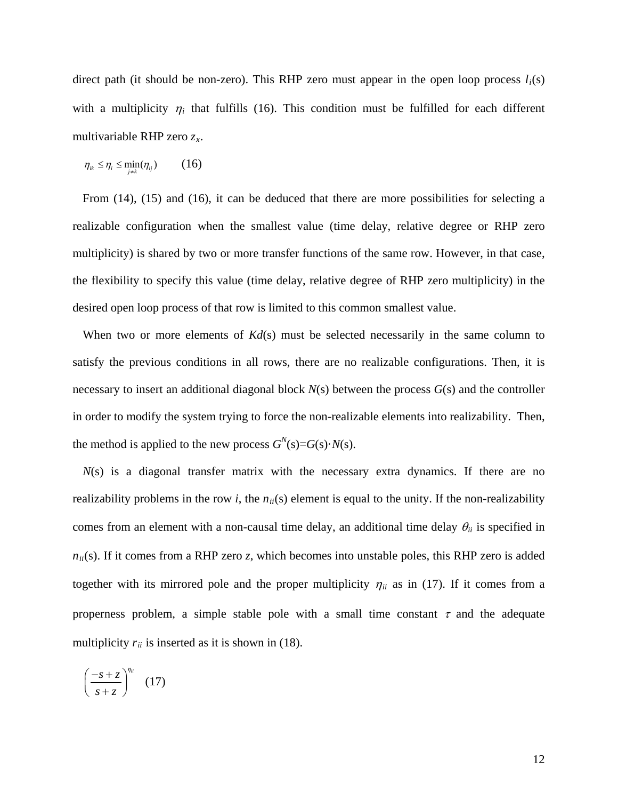direct path (it should be non-zero). This RHP zero must appear in the open loop process  $l_i(s)$ with a multiplicity  $\eta_i$  that fulfills (16). This condition must be fulfilled for each different multivariable RHP zero *zx*.

$$
\eta_{ik} \leq \eta_i \leq \min_{j \neq k} (\eta_{ij}) \qquad (16)
$$

From (14), (15) and (16), it can be deduced that there are more possibilities for selecting a realizable configuration when the smallest value (time delay, relative degree or RHP zero multiplicity) is shared by two or more transfer functions of the same row. However, in that case, the flexibility to specify this value (time delay, relative degree of RHP zero multiplicity) in the desired open loop process of that row is limited to this common smallest value.

When two or more elements of  $Kd(s)$  must be selected necessarily in the same column to satisfy the previous conditions in all rows, there are no realizable configurations. Then, it is necessary to insert an additional diagonal block *N*(s) between the process *G*(s) and the controller in order to modify the system trying to force the non-realizable elements into realizability. Then, the method is applied to the new process  $G^N(s) = G(s) \cdot N(s)$ .

*N*(s) is a diagonal transfer matrix with the necessary extra dynamics. If there are no realizability problems in the row *i*, the  $n_{ii}(s)$  element is equal to the unity. If the non-realizability comes from an element with a non-causal time delay, an additional time delay  $\theta_{ii}$  is specified in  $n_{ii}(s)$ . If it comes from a RHP zero *z*, which becomes into unstable poles, this RHP zero is added together with its mirrored pole and the proper multiplicity  $\eta_{ii}$  as in (17). If it comes from a properness problem, a simple stable pole with a small time constant  $\tau$  and the adequate multiplicity  $r_{ii}$  is inserted as it is shown in (18).

$$
\left(\frac{-s+z}{s+z}\right)^{\eta_{ii}} \quad (17)
$$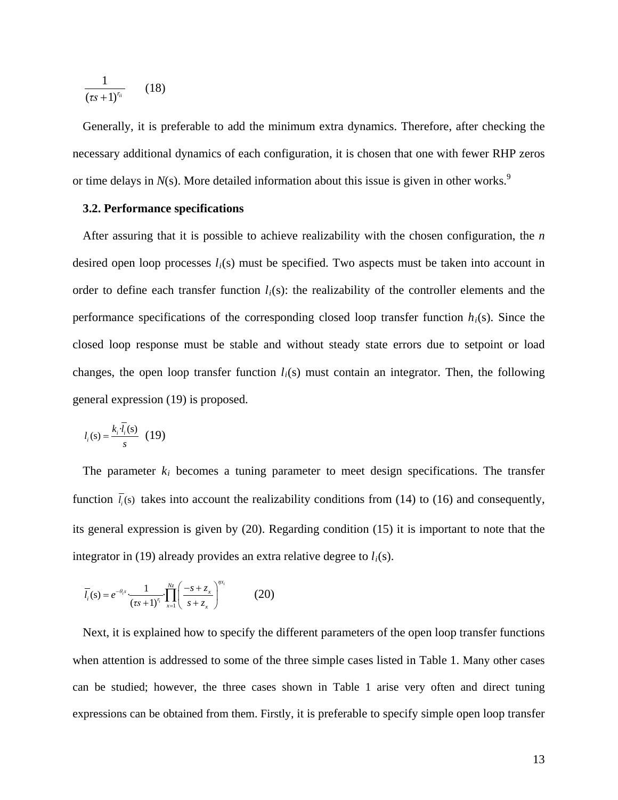$$
\frac{1}{(\tau s+1)^{r_{ii}}}\qquad(18)
$$

Generally, it is preferable to add the minimum extra dynamics. Therefore, after checking the necessary additional dynamics of each configuration, it is chosen that one with fewer RHP zeros or time delays in  $N(s)$ . More detailed information about this issue is given in other works.<sup>[9](#page-35-4)</sup>

#### **3.2. Performance specifications**

After assuring that it is possible to achieve realizability with the chosen configuration, the *n* desired open loop processes  $l_i(s)$  must be specified. Two aspects must be taken into account in order to define each transfer function *li*(s): the realizability of the controller elements and the performance specifications of the corresponding closed loop transfer function  $h_i(s)$ . Since the closed loop response must be stable and without steady state errors due to setpoint or load changes, the open loop transfer function  $l_i(s)$  must contain an integrator. Then, the following general expression (19) is proposed.

$$
l_i(s) = \frac{k_i \cdot \overline{l_i}(s)}{s} \quad (19)
$$

The parameter *ki* becomes a tuning parameter to meet design specifications. The transfer function  $\bar{l}_i(s)$  takes into account the realizability conditions from (14) to (16) and consequently, its general expression is given by (20). Regarding condition (15) it is important to note that the integrator in (19) already provides an extra relative degree to  $l_i(s)$ .

$$
\overline{l_i}(s) = e^{-\theta_i s} \frac{1}{(\tau s + 1)^{r_i}} \prod_{x=1}^{N_z} \left( \frac{-s + z_x}{s + z_x} \right)^{n x_i}
$$
(20)

Next, it is explained how to specify the different parameters of the open loop transfer functions when attention is addressed to some of the three simple cases listed in Table 1. Many other cases can be studied; however, the three cases shown in Table 1 arise very often and direct tuning expressions can be obtained from them. Firstly, it is preferable to specify simple open loop transfer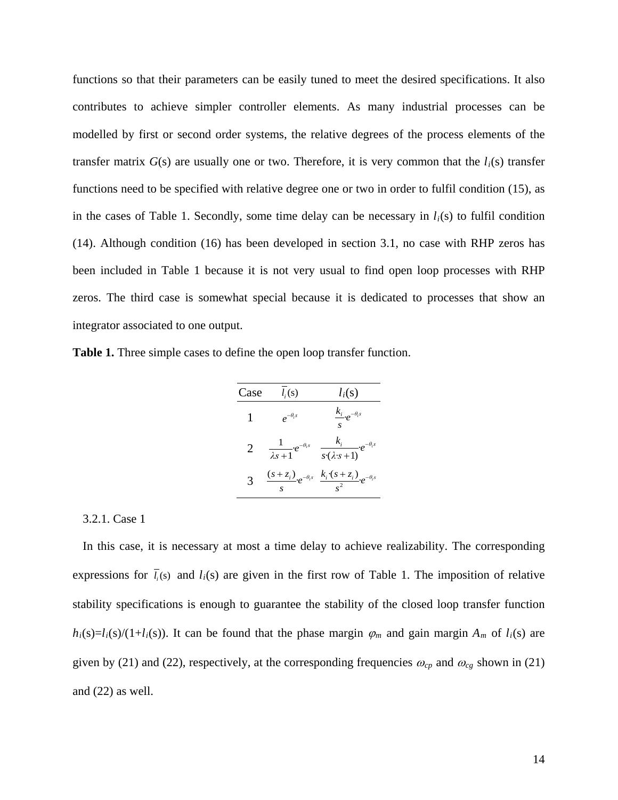functions so that their parameters can be easily tuned to meet the desired specifications. It also contributes to achieve simpler controller elements. As many industrial processes can be modelled by first or second order systems, the relative degrees of the process elements of the transfer matrix  $G(s)$  are usually one or two. Therefore, it is very common that the  $l_i(s)$  transfer functions need to be specified with relative degree one or two in order to fulfil condition (15), as in the cases of Table 1. Secondly, some time delay can be necessary in  $l_i(s)$  to fulfil condition (14). Although condition (16) has been developed in section 3.1, no case with RHP zeros has been included in Table 1 because it is not very usual to find open loop processes with RHP zeros. The third case is somewhat special because it is dedicated to processes that show an integrator associated to one output.

**Table 1.** Three simple cases to define the open loop transfer function.

| Case         | $l_i(s)$                               | $l_i(s)$                                                                      |
|--------------|----------------------------------------|-------------------------------------------------------------------------------|
|              | $e^{-\theta_i s}$                      | $\frac{k_i}{\cdots}e^{-\theta_i s}$<br>$\mathbf{C}$                           |
| 2            | $\frac{1}{\lambda s+1}e^{-\theta_i s}$ | $k_i$<br>$-e^{-\theta_i s}$<br>$\overline{s\cdot(\lambda s+1)}$               |
| $\mathbf{R}$ |                                        | $\frac{(s+z_i)}{s}e^{-\theta_i s}\frac{k_i\cdot (s+z_i)}{s^2}e^{-\theta_i s}$ |

3.2.1. Case 1

In this case, it is necessary at most a time delay to achieve realizability. The corresponding expressions for  $\overline{l}_i(s)$  and  $l_i(s)$  are given in the first row of Table 1. The imposition of relative stability specifications is enough to guarantee the stability of the closed loop transfer function  $h_i(s)=l_i(s)/(1+l_i(s))$ . It can be found that the phase margin  $\varphi_m$  and gain margin  $A_m$  of  $l_i(s)$  are given by (21) and (22), respectively, at the corresponding frequencies  $\omega_{cp}$  and  $\omega_{cg}$  shown in (21) and (22) as well.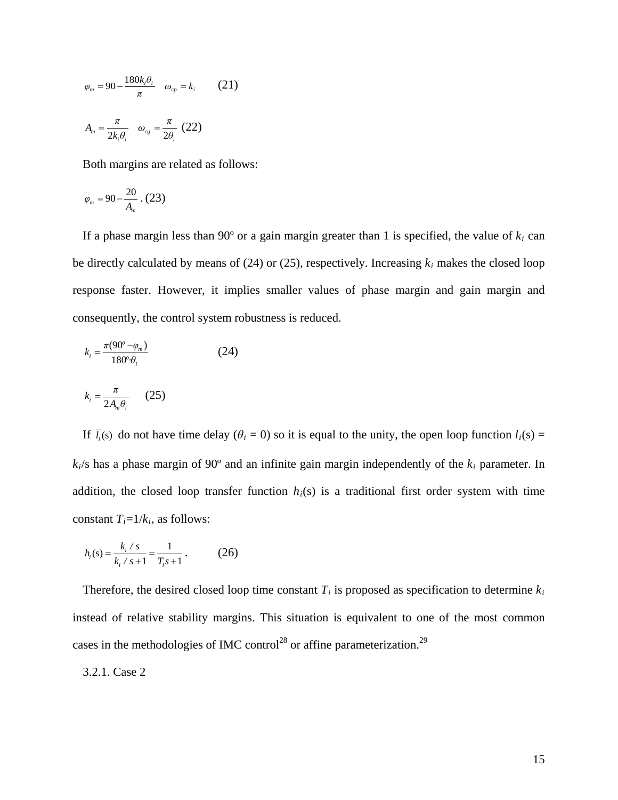$$
\varphi_m = 90 - \frac{180k_i \theta_i}{\pi} \quad \omega_{cp} = k_i \qquad (21)
$$

$$
A_m = \frac{\pi}{2k_i \theta_i} \quad \omega_{cg} = \frac{\pi}{2\theta_i} \quad (22)
$$

Both margins are related as follows:

$$
\varphi_m=90-\frac{20}{A_m} \cdot (23)
$$

If a phase margin less than  $90^\circ$  or a gain margin greater than 1 is specified, the value of  $k_i$  can be directly calculated by means of (24) or (25), respectively. Increasing *ki* makes the closed loop response faster. However, it implies smaller values of phase margin and gain margin and consequently, the control system robustness is reduced.

$$
k_i = \frac{\pi (90^\circ - \varphi_m)}{180^\circ \theta_i} \tag{24}
$$

$$
k_i = \frac{\pi}{2A_m \theta_i} \qquad (25)
$$

If  $\overline{l_i}$  (s) do not have time delay ( $\theta_i = 0$ ) so it is equal to the unity, the open loop function  $l_i(s)$  =  $k_i$ /s has a phase margin of 90 $\degree$  and an infinite gain margin independently of the  $k_i$  parameter. In addition, the closed loop transfer function  $h_i(s)$  is a traditional first order system with time constant  $T_i = 1/k_i$ , as follows:

$$
h_i(s) = \frac{k_i / s}{k_i / s + 1} = \frac{1}{T_i s + 1}.
$$
 (26)

Therefore, the desired closed loop time constant  $T_i$  is proposed as specification to determine  $k_i$ instead of relative stability margins. This situation is equivalent to one of the most common cases in the methodologies of IMC control<sup>[28](#page-36-10)</sup> or affine parameterization.<sup>[29](#page-36-11)</sup>

# 3.2.1. Case 2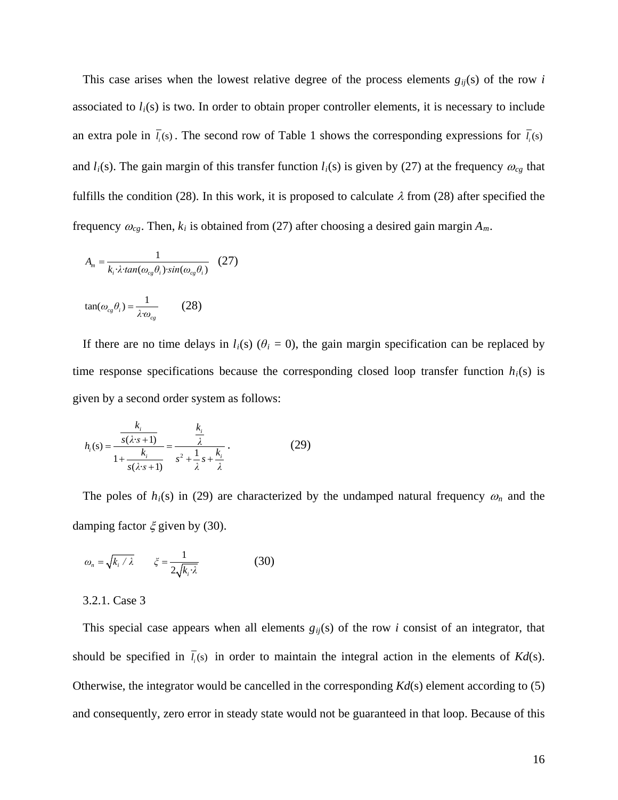This case arises when the lowest relative degree of the process elements  $g_{ii}(s)$  of the row *i* associated to  $l_i(s)$  is two. In order to obtain proper controller elements, it is necessary to include an extra pole in  $\bar{l}_i$  (s). The second row of Table 1 shows the corresponding expressions for  $\bar{l}_i$  (s) and  $l_i(s)$ . The gain margin of this transfer function  $l_i(s)$  is given by (27) at the frequency  $\omega_{cg}$  that fulfills the condition (28). In this work, it is proposed to calculate  $\lambda$  from (28) after specified the frequency  $\omega_{cg}$ . Then,  $k_i$  is obtained from (27) after choosing a desired gain margin  $A_m$ .

$$
A_m = \frac{1}{k_i \cdot \lambda \cdot \tan(\omega_{cg}\theta_i) \cdot \sin(\omega_{cg}\theta_i)} \quad (27)
$$

$$
\tan(\omega_{cg}\theta_i) = \frac{1}{\lambda \omega_{cg}}
$$
 (28)

If there are no time delays in  $l_i(s)$  ( $\theta_i = 0$ ), the gain margin specification can be replaced by time response specifications because the corresponding closed loop transfer function  $h_i(s)$  is given by a second order system as follows:

$$
h_i(s) = \frac{\frac{k_i}{s(\lambda \cdot s + 1)}}{1 + \frac{k_i}{s(\lambda \cdot s + 1)}} = \frac{\frac{k_i}{\lambda}}{s^2 + \frac{1}{\lambda}s + \frac{k_i}{\lambda}}.
$$
 (29)

The poles of  $h_i(s)$  in (29) are characterized by the undamped natural frequency  $\omega_n$  and the damping factor  $\xi$  given by (30).

$$
\omega_n = \sqrt{k_i / \lambda} \qquad \xi = \frac{1}{2\sqrt{k_i \cdot \lambda}} \tag{30}
$$

# 3.2.1. Case 3

This special case appears when all elements  $g_{ij}(s)$  of the row *i* consist of an integrator, that should be specified in  $\bar{l}_i(s)$  in order to maintain the integral action in the elements of  $Kd(s)$ . Otherwise, the integrator would be cancelled in the corresponding *Kd*(s) element according to (5) and consequently, zero error in steady state would not be guaranteed in that loop. Because of this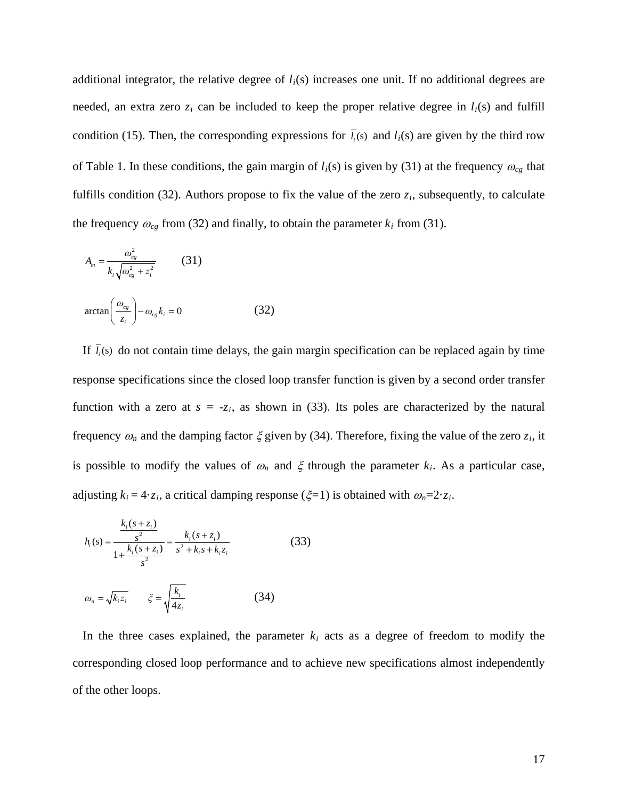additional integrator, the relative degree of *li*(s) increases one unit. If no additional degrees are needed, an extra zero  $z_i$  can be included to keep the proper relative degree in  $l_i(s)$  and fulfill condition (15). Then, the corresponding expressions for  $\bar{l}_i$  (s) and  $l_i$ (s) are given by the third row of Table 1. In these conditions, the gain margin of  $l_i(s)$  is given by (31) at the frequency  $\omega_{cg}$  that fulfills condition (32). Authors propose to fix the value of the zero  $z_i$ , subsequently, to calculate the frequency  $\omega_{cg}$  from (32) and finally, to obtain the parameter  $k_i$  from (31).

$$
A_m = \frac{\omega_{cg}^2}{k_i \sqrt{\omega_{cg}^2 + z_i^2}}
$$
 (31)  
\n
$$
\arctan\left(\frac{\omega_{cg}}{z_i}\right) - \omega_{cg}k_i = 0
$$
 (32)

If  $\overline{l_i}$  (s) do not contain time delays, the gain margin specification can be replaced again by time response specifications since the closed loop transfer function is given by a second order transfer function with a zero at  $s = -z_i$ , as shown in (33). Its poles are characterized by the natural frequency  $\omega_n$  and the damping factor  $\xi$  given by (34). Therefore, fixing the value of the zero  $z_i$ , it is possible to modify the values of  $\omega_n$  and  $\xi$  through the parameter  $k_i$ . As a particular case, adjusting  $k_i = 4 \cdot z_i$ , a critical damping response ( $\xi = 1$ ) is obtained with  $\omega_n = 2 \cdot z_i$ .

$$
h_i(s) = \frac{\frac{k_i(s+z_i)}{s^2}}{1 + \frac{k_i(s+z_i)}{s^2}} = \frac{k_i(s+z_i)}{s^2 + k_i s + k_i z_i}
$$
(33)  

$$
\omega_n = \sqrt{k_i z_i} \qquad \xi = \sqrt{\frac{k_i}{4z_i}}
$$
(34)

In the three cases explained, the parameter  $k_i$  acts as a degree of freedom to modify the corresponding closed loop performance and to achieve new specifications almost independently of the other loops.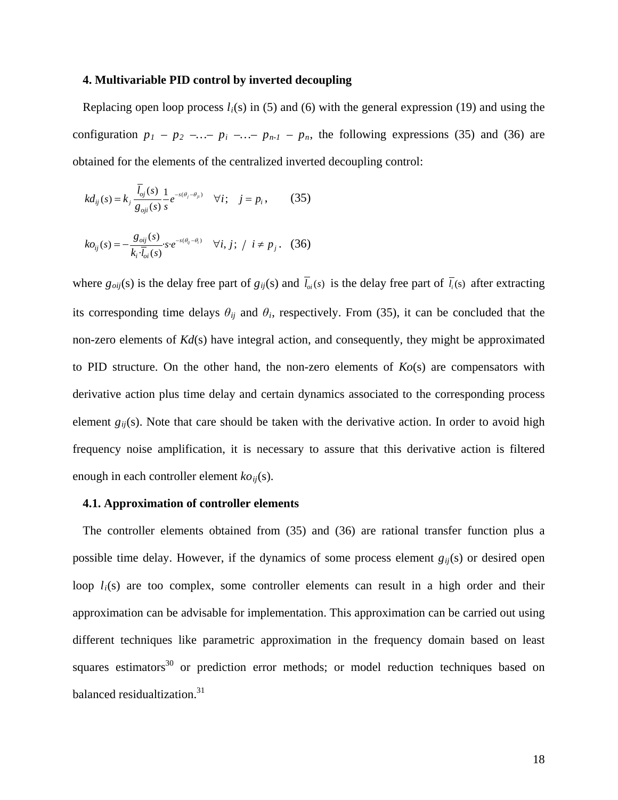# **4. Multivariable PID control by inverted decoupling**

Replacing open loop process  $l_i(s)$  in (5) and (6) with the general expression (19) and using the configuration  $p_1 - p_2 - \dots - p_i - \dots - p_{n-1} - p_n$ , the following expressions (35) and (36) are obtained for the elements of the centralized inverted decoupling control:

$$
kd_{ij}(s) = k_j \frac{\bar{l}_{oj}(s)}{g_{oji}(s)} \frac{1}{s} e^{-s(\theta_j - \theta_{ji})} \quad \forall i; \quad j = p_i,
$$
 (35)

$$
ko_{ij}(s) = -\frac{g_{\text{oij}}(s)}{k_i \cdot \overline{l}_{\text{oi}}(s)} s \cdot e^{-s(\theta_{ij} - \theta_i)} \quad \forall i, j; / i \neq p_j. \quad (36)
$$

where  $g_{\text{oij}}(s)$  is the delay free part of  $g_{ij}(s)$  and  $\bar{l}_{\text{o}}(s)$  is the delay free part of  $\bar{l}_{i}(s)$  after extracting its corresponding time delays  $\theta_{ij}$  and  $\theta_i$ , respectively. From (35), it can be concluded that the non-zero elements of *Kd*(s) have integral action, and consequently, they might be approximated to PID structure. On the other hand, the non-zero elements of  $Ko(s)$  are compensators with derivative action plus time delay and certain dynamics associated to the corresponding process element  $g_{ii}(s)$ . Note that care should be taken with the derivative action. In order to avoid high frequency noise amplification, it is necessary to assure that this derivative action is filtered enough in each controller element  $ko_{ii}(s)$ .

#### **4.1. Approximation of controller elements**

The controller elements obtained from (35) and (36) are rational transfer function plus a possible time delay. However, if the dynamics of some process element  $g_{ij}(s)$  or desired open loop  $l_i(s)$  are too complex, some controller elements can result in a high order and their approximation can be advisable for implementation. This approximation can be carried out using different techniques like parametric approximation in the frequency domain based on least squares estimators<sup>[30](#page-36-12)</sup> or prediction error methods; or model reduction techniques based on balanced residualtization.<sup>[31](#page-36-13)</sup>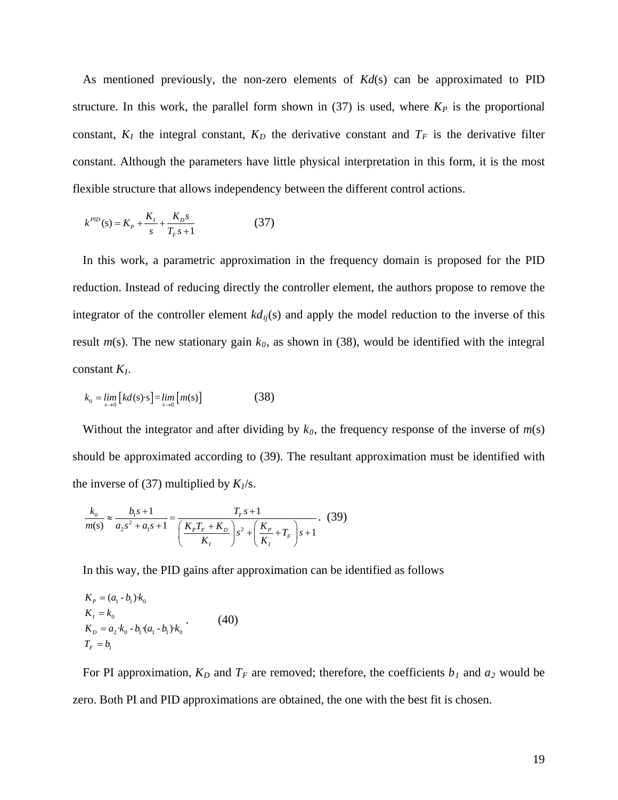As mentioned previously, the non-zero elements of *Kd*(s) can be approximated to PID structure. In this work, the parallel form shown in  $(37)$  is used, where  $K_P$  is the proportional constant,  $K_I$  the integral constant,  $K_D$  the derivative constant and  $T_F$  is the derivative filter constant. Although the parameters have little physical interpretation in this form, it is the most flexible structure that allows independency between the different control actions.

$$
k^{PID}(s) = K_p + \frac{K_I}{s} + \frac{K_D s}{T_F s + 1}
$$
 (37)

In this work, a parametric approximation in the frequency domain is proposed for the PID reduction. Instead of reducing directly the controller element, the authors propose to remove the integrator of the controller element  $k d_{ij}(s)$  and apply the model reduction to the inverse of this result  $m(s)$ . The new stationary gain  $k_0$ , as shown in (38), would be identified with the integral constant *KI*.

$$
k_0 = \lim_{s \to 0} \left[ kd(s) \cdot s \right] = \lim_{s \to 0} \left[ m(s) \right] \tag{38}
$$

Without the integrator and after dividing by  $k_0$ , the frequency response of the inverse of  $m(s)$ should be approximated according to (39). The resultant approximation must be identified with the inverse of (37) multiplied by  $K_I$ /s.

$$
\frac{k_0}{m(s)} \approx \frac{b_1 s + 1}{a_2 s^2 + a_1 s + 1} = \frac{T_F s + 1}{\left(\frac{K_F T_F + K_D}{K_I}\right) s^2 + \left(\frac{K_P}{K_I} + T_F\right) s + 1}.
$$
 (39)

In this way, the PID gains after approximation can be identified as follows

$$
K_{P} = (a_{1} - b_{1}) \cdot k_{0}
$$
  
\n
$$
K_{I} = k_{0}
$$
  
\n
$$
K_{D} = a_{2} \cdot k_{0} - b_{1} \cdot (a_{1} - b_{1}) \cdot k_{0}
$$
  
\n
$$
T_{F} = b_{1}
$$
\n(40)

For PI approximation,  $K_D$  and  $T_F$  are removed; therefore, the coefficients  $b_I$  and  $a_2$  would be zero. Both PI and PID approximations are obtained, the one with the best fit is chosen.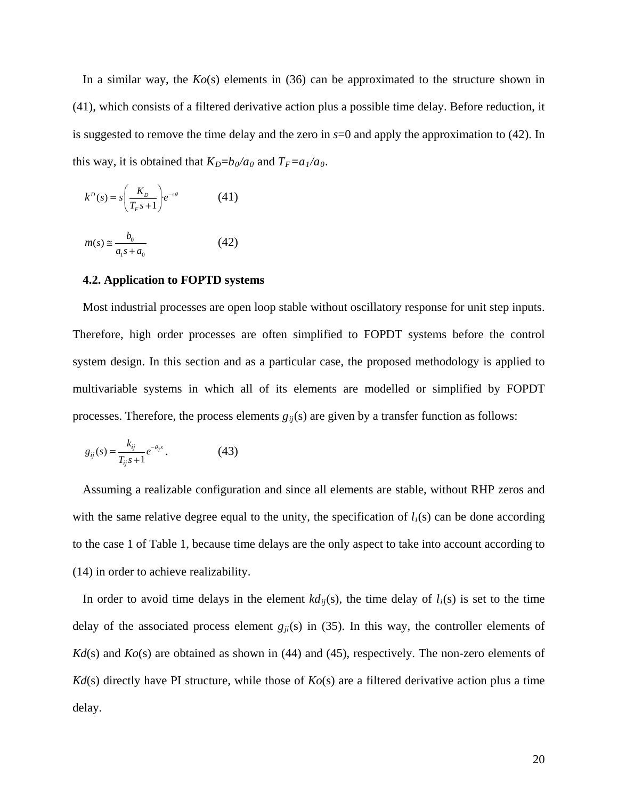In a similar way, the *Ko*(s) elements in (36) can be approximated to the structure shown in (41), which consists of a filtered derivative action plus a possible time delay. Before reduction, it is suggested to remove the time delay and the zero in  $s=0$  and apply the approximation to (42). In this way, it is obtained that  $K_D = b_0/a_0$  and  $T_F = a_1/a_0$ .

$$
k^{D}(s) = s \left(\frac{K_{D}}{T_{F}s + 1}\right) e^{-s\theta} \tag{41}
$$

$$
m(s) \approx \frac{b_0}{a_1 s + a_0} \tag{42}
$$

## **4.2. Application to FOPTD systems**

Most industrial processes are open loop stable without oscillatory response for unit step inputs. Therefore, high order processes are often simplified to FOPDT systems before the control system design. In this section and as a particular case, the proposed methodology is applied to multivariable systems in which all of its elements are modelled or simplified by FOPDT processes. Therefore, the process elements  $g_{ij}(s)$  are given by a transfer function as follows:

$$
g_{ij}(s) = \frac{k_{ij}}{T_{ij}s + 1} e^{-\theta_{ij}s}.
$$
 (43)

Assuming a realizable configuration and since all elements are stable, without RHP zeros and with the same relative degree equal to the unity, the specification of  $l_i(s)$  can be done according to the case 1 of Table 1, because time delays are the only aspect to take into account according to (14) in order to achieve realizability.

In order to avoid time delays in the element  $k d_{ij}(s)$ , the time delay of  $l_i(s)$  is set to the time delay of the associated process element  $g_{ji}(s)$  in (35). In this way, the controller elements of *Kd*(s) and *Ko*(s) are obtained as shown in (44) and (45), respectively. The non-zero elements of *Kd*(s) directly have PI structure, while those of *Ko*(s) are a filtered derivative action plus a time delay.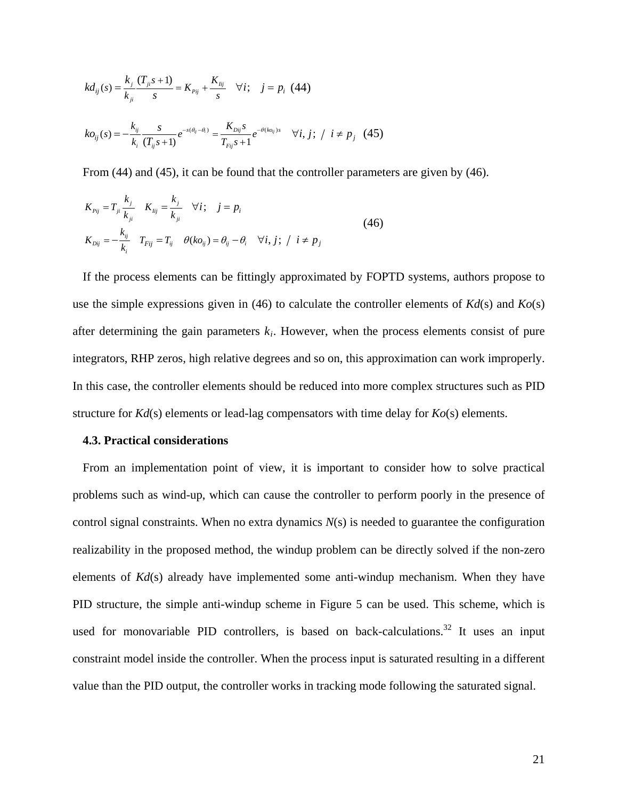$$
kd_{ij}(s) = \frac{k_j}{k_{ji}} \frac{(T_{ji}s + 1)}{s} = K_{pij} + \frac{K_{lij}}{s} \quad \forall i; \quad j = p_i \quad (44)
$$
  

$$
k o_{ij}(s) = -\frac{k_{ij}}{k_i} \frac{s}{(T_{ij}s + 1)} e^{-s(\theta_{ij} - \theta_i)} = \frac{K_{Dij}s}{T_{rij}s + 1} e^{-\theta(k o_{ij})s} \quad \forall i, j; / i \neq p_j \quad (45)
$$

From (44) and (45), it can be found that the controller parameters are given by (46).

$$
K_{p_{ij}} = T_{ji} \frac{k_j}{k_{ji}} \quad K_{Iij} = \frac{k_j}{k_{ji}} \quad \forall i; \quad j = p_i
$$
  

$$
K_{Dij} = -\frac{k_{ij}}{k_i} \quad T_{Fij} = T_{ij} \quad \theta(ko_{ij}) = \theta_{ij} - \theta_i \quad \forall i, j; / i \neq p_j
$$
 (46)

If the process elements can be fittingly approximated by FOPTD systems, authors propose to use the simple expressions given in (46) to calculate the controller elements of *Kd*(s) and *Ko*(s) after determining the gain parameters  $k_i$ . However, when the process elements consist of pure integrators, RHP zeros, high relative degrees and so on, this approximation can work improperly. In this case, the controller elements should be reduced into more complex structures such as PID structure for *Kd*(s) elements or lead-lag compensators with time delay for *Ko*(s) elements.

#### **4.3. Practical considerations**

From an implementation point of view, it is important to consider how to solve practical problems such as wind-up, which can cause the controller to perform poorly in the presence of control signal constraints. When no extra dynamics *N*(s) is needed to guarantee the configuration realizability in the proposed method, the windup problem can be directly solved if the non-zero elements of *Kd*(s) already have implemented some anti-windup mechanism. When they have PID structure, the simple anti-windup scheme in Figure 5 can be used. This scheme, which is used for monovariable PID controllers, is based on back-calculations.<sup>[32](#page-36-14)</sup> It uses an input constraint model inside the controller. When the process input is saturated resulting in a different value than the PID output, the controller works in tracking mode following the saturated signal.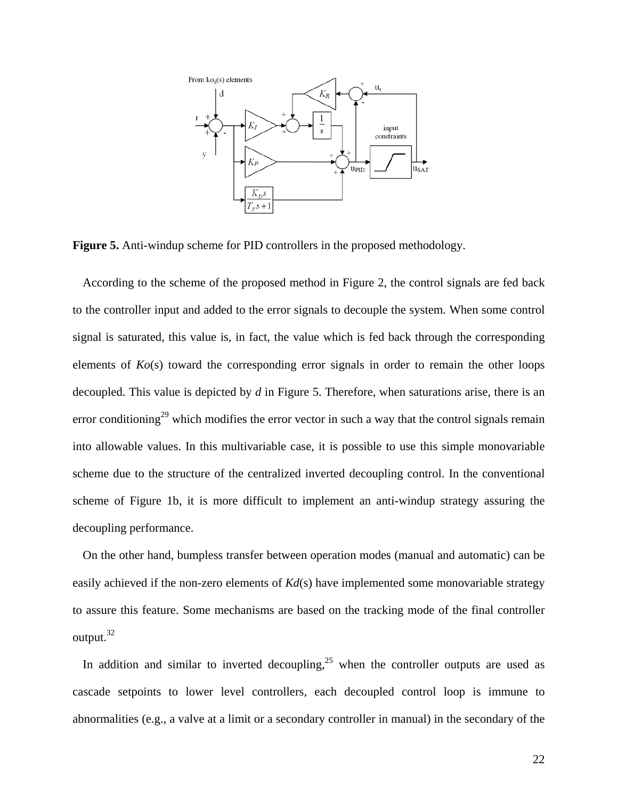

**Figure 5.** Anti-windup scheme for PID controllers in the proposed methodology.

According to the scheme of the proposed method in Figure 2, the control signals are fed back to the controller input and added to the error signals to decouple the system. When some control signal is saturated, this value is, in fact, the value which is fed back through the corresponding elements of *Ko*(s) toward the corresponding error signals in order to remain the other loops decoupled. This value is depicted by *d* in Figure 5. Therefore, when saturations arise, there is an error conditioning<sup>29</sup> which modifies the error vector in such a way that the control signals remain into allowable values. In this multivariable case, it is possible to use this simple monovariable scheme due to the structure of the centralized inverted decoupling control. In the conventional scheme of Figure 1b, it is more difficult to implement an anti-windup strategy assuring the decoupling performance.

On the other hand, bumpless transfer between operation modes (manual and automatic) can be easily achieved if the non-zero elements of *Kd*(s) have implemented some monovariable strategy to assure this feature. Some mechanisms are based on the tracking mode of the final controller output.<sup>[32](#page-36-14)</sup>

In addition and similar to inverted decoupling,  $2^5$  when the controller outputs are used as cascade setpoints to lower level controllers, each decoupled control loop is immune to abnormalities (e.g., a valve at a limit or a secondary controller in manual) in the secondary of the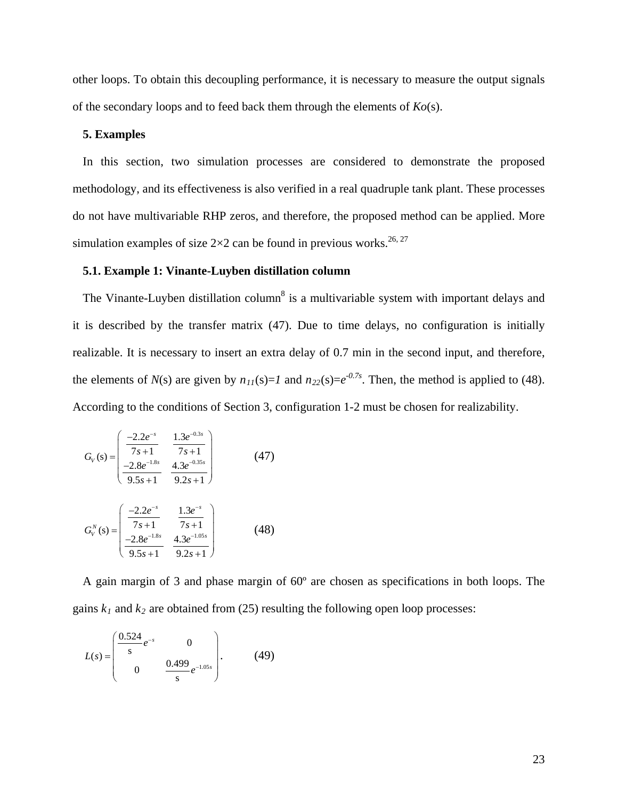other loops. To obtain this decoupling performance, it is necessary to measure the output signals of the secondary loops and to feed back them through the elements of *Ko*(s).

## **5. Examples**

In this section, two simulation processes are considered to demonstrate the proposed methodology, and its effectiveness is also verified in a real quadruple tank plant. These processes do not have multivariable RHP zeros, and therefore, the proposed method can be applied. More simulation examples of size  $2\times 2$  can be found in previous works.<sup>26, [27](#page-36-9)</sup>

### **5.1. Example 1: Vinante-Luyben distillation column**

The Vi[n](#page-35-3)ante-Luyben distillation column<sup>8</sup> is a multivariable system with important delays and it is described by the transfer matrix (47). Due to time delays, no configuration is initially realizable. It is necessary to insert an extra delay of 0.7 min in the second input, and therefore, the elements of  $N(s)$  are given by  $n_{11}(s)=1$  and  $n_{22}(s)=e^{-0.7s}$ . Then, the method is applied to (48). According to the conditions of Section 3, configuration 1-2 must be chosen for realizability.

$$
G_V(s) = \begin{pmatrix} \frac{-2.2e^{-s}}{7s+1} & \frac{1.3e^{-0.3s}}{7s+1} \\ \frac{-2.8e^{-1.8s}}{9.5s+1} & \frac{4.3e^{-0.35s}}{9.2s+1} \end{pmatrix}
$$
(47)

$$
G_V^N(s) = \begin{pmatrix} \frac{-2.2e^{-s}}{7s+1} & \frac{1.3e^{-s}}{7s+1} \\ \frac{-2.8e^{-1.8s}}{9.5s+1} & \frac{4.3e^{-1.05s}}{9.2s+1} \end{pmatrix}
$$
(48)

A gain margin of 3 and phase margin of 60º are chosen as specifications in both loops. The gains  $k_1$  and  $k_2$  are obtained from (25) resulting the following open loop processes:

$$
L(s) = \begin{pmatrix} \frac{0.524}{s} e^{-s} & 0\\ 0 & \frac{0.499}{s} e^{-1.05s} \end{pmatrix} .
$$
 (49)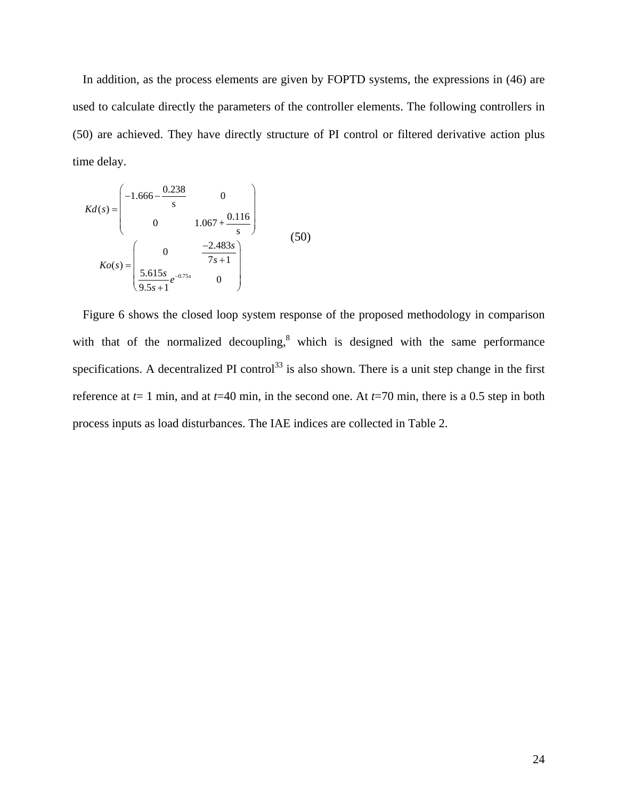In addition, as the process elements are given by FOPTD systems, the expressions in (46) are used to calculate directly the parameters of the controller elements. The following controllers in (50) are achieved. They have directly structure of PI control or filtered derivative action plus time delay.

$$
Kd(s) = \begin{pmatrix} -1.666 - \frac{0.238}{s} & 0\\ 0 & 1.067 + \frac{0.116}{s} \end{pmatrix}
$$
  
\n
$$
Ko(s) = \begin{pmatrix} 0 & \frac{-2.483s}{7s+1} \\ \frac{5.615s}{9.5s+1}e^{-0.75s} & 0 \end{pmatrix}
$$
 (50)

Figure 6 shows the closed loop system response of the proposed methodology in comparison with that of the normalized decoupling, $8$  which is designed with the same performance specifications. A decentralized PI control<sup>[33](#page-36-15)</sup> is also shown. There is a unit step change in the first reference at  $t=1$  min, and at  $t=40$  min, in the second one. At  $t=70$  min, there is a 0.5 step in both process inputs as load disturbances. The IAE indices are collected in Table 2.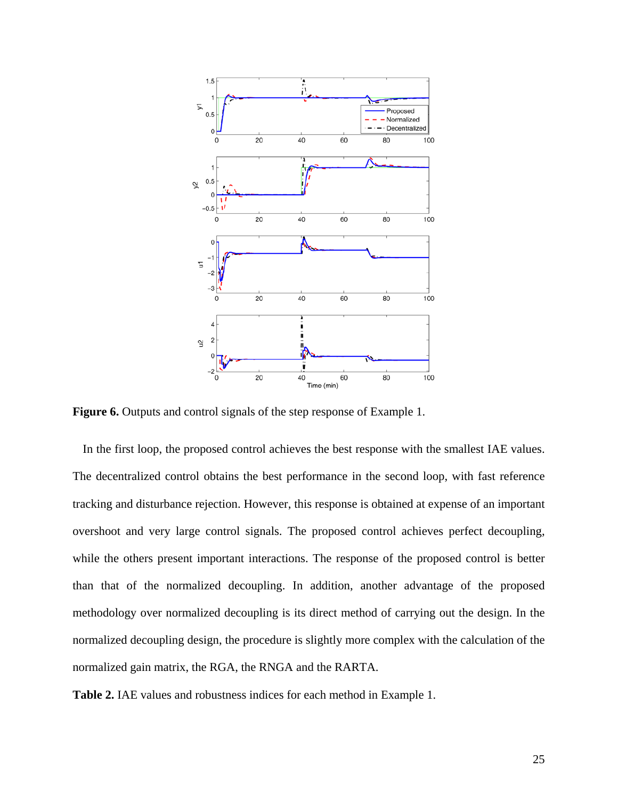

**Figure 6.** Outputs and control signals of the step response of Example 1.

In the first loop, the proposed control achieves the best response with the smallest IAE values. The decentralized control obtains the best performance in the second loop, with fast reference tracking and disturbance rejection. However, this response is obtained at expense of an important overshoot and very large control signals. The proposed control achieves perfect decoupling, while the others present important interactions. The response of the proposed control is better than that of the normalized decoupling. In addition, another advantage of the proposed methodology over normalized decoupling is its direct method of carrying out the design. In the normalized decoupling design, the procedure is slightly more complex with the calculation of the normalized gain matrix, the RGA, the RNGA and the RARTA.

**Table 2.** IAE values and robustness indices for each method in Example 1.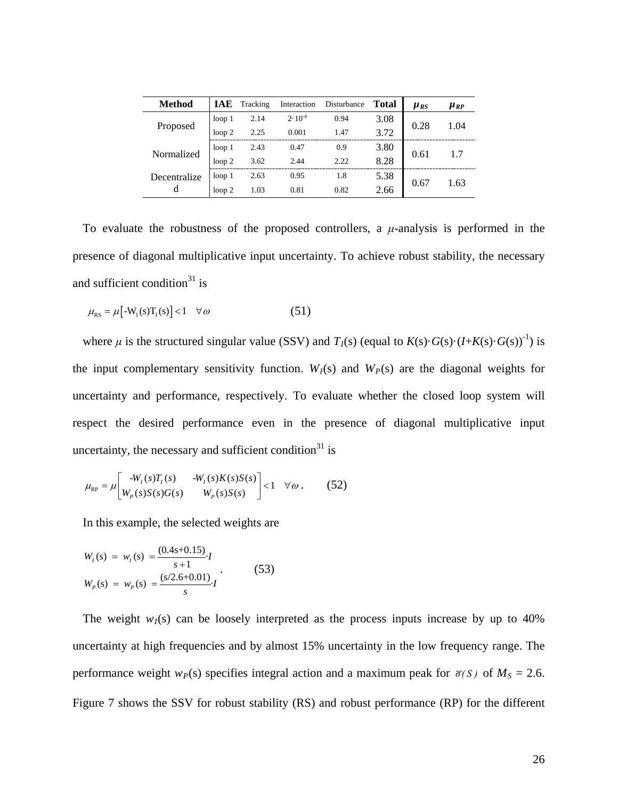| <b>Method</b>     | IAE               | Tracking | Interaction | Disturbance | Total | $\mu_{RS}$ | $\mu_{RP}$ |
|-------------------|-------------------|----------|-------------|-------------|-------|------------|------------|
| Proposed          | loop <sub>1</sub> | 2.14     | $2.10^{-4}$ | 0.94        | 3.08  | 0.28       | 1.04       |
|                   | loop <sub>2</sub> | 2.25     | 0.001       | 1.47        | 3.72  |            |            |
| Normalized        | loop <sub>1</sub> | 2.43     | 0.47        | 0.9         | 3.80  |            | 1.7        |
|                   | loop <sub>2</sub> | 3.62     | 2.44        | 2.22        | 8.28  | 0.61       |            |
| Decentralize<br>d | loop <sub>1</sub> | 2.63     | 0.95        | 1.8         | 5.38  | 0.67       | 1.63       |
|                   | loop <sub>2</sub> | 1.03     | 0.81        | 0.82        | 2.66  |            |            |

To evaluate the robustness of the proposed controllers, a *μ*-analysis is performed in the presence of diagonal multiplicative input uncertainty. To achieve robust stability, the necessary and sufficient condition<sup>[31](#page-36-13)</sup> is

$$
\mu_{\rm RS} = \mu \left[ -W_{\rm I}(s) T_{\rm I}(s) \right] < 1 \quad \forall \omega \tag{51}
$$

where  $\mu$  is the structured singular value (SSV) and  $T_I(s)$  (equal to  $K(s) \cdot G(s) \cdot (I + K(s) \cdot G(s))^{-1}$ ) is the input complementary sensitivity function.  $W_I(s)$  and  $W_P(s)$  are the diagonal weights for uncertainty and performance, respectively. To evaluate whether the closed loop system will respect the desired performance even in the presence of diagonal multiplicative input uncertainty, the necessary and sufficient condition<sup>31</sup> is

$$
\mu_{\rm RP} = \mu \left[ \begin{array}{cc} -W_I(s)T_I(s) & -W_I(s)K(s)S(s) \\ W_P(s)S(s)G(s) & W_P(s)S(s) \end{array} \right] < 1 \quad \forall \omega \, . \tag{52}
$$

In this example, the selected weights are

$$
W_I(s) = w_I(s) = \frac{(0.4s + 0.15)}{s + 1}I
$$
  
\n
$$
W_P(s) = w_P(s) = \frac{(s/2.6 + 0.01)}{s}I
$$
 (53)

The weight  $w_I(s)$  can be loosely interpreted as the process inputs increase by up to 40% uncertainty at high frequencies and by almost 15% uncertainty in the low frequency range. The performance weight  $w_P(s)$  specifies integral action and a maximum peak for  $\bar{\sigma}(s)$  of  $M_S = 2.6$ . Figure 7 shows the SSV for robust stability (RS) and robust performance (RP) for the different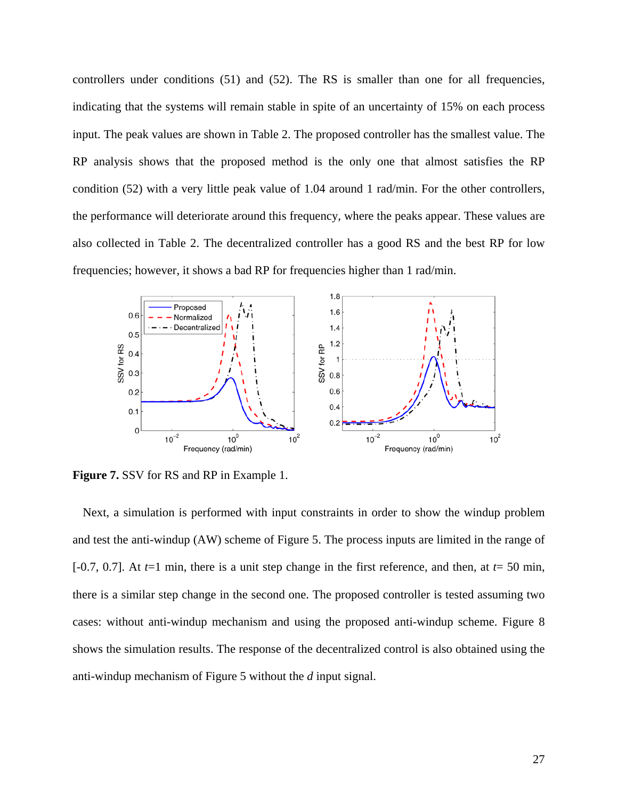controllers under conditions (51) and (52). The RS is smaller than one for all frequencies, indicating that the systems will remain stable in spite of an uncertainty of 15% on each process input. The peak values are shown in Table 2. The proposed controller has the smallest value. The RP analysis shows that the proposed method is the only one that almost satisfies the RP condition (52) with a very little peak value of 1.04 around 1 rad/min. For the other controllers, the performance will deteriorate around this frequency, where the peaks appear. These values are also collected in Table 2. The decentralized controller has a good RS and the best RP for low frequencies; however, it shows a bad RP for frequencies higher than 1 rad/min.



**Figure 7.** SSV for RS and RP in Example 1.

Next, a simulation is performed with input constraints in order to show the windup problem and test the anti-windup (AW) scheme of Figure 5. The process inputs are limited in the range of [-0.7, 0.7]. At  $t=1$  min, there is a unit step change in the first reference, and then, at  $t=50$  min, there is a similar step change in the second one. The proposed controller is tested assuming two cases: without anti-windup mechanism and using the proposed anti-windup scheme. Figure 8 shows the simulation results. The response of the decentralized control is also obtained using the anti-windup mechanism of Figure 5 without the *d* input signal.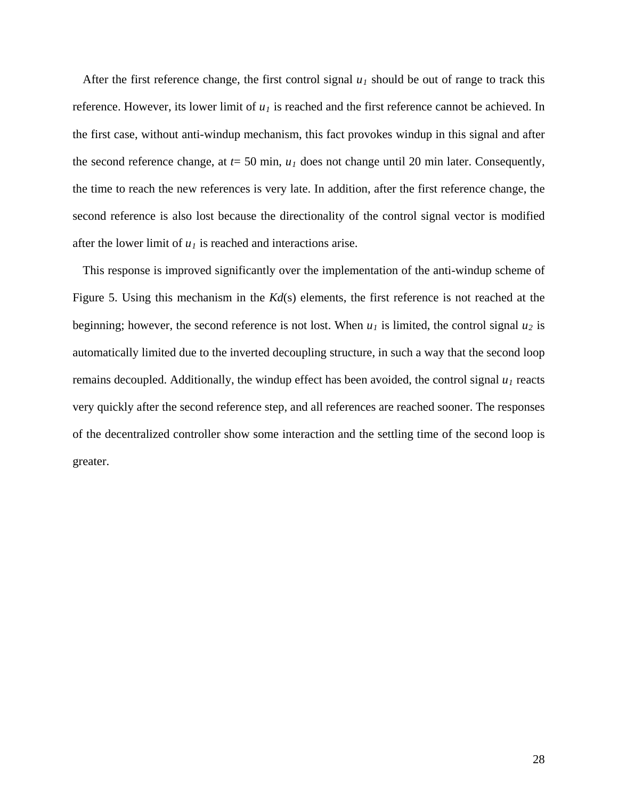After the first reference change, the first control signal  $u_1$  should be out of range to track this reference. However, its lower limit of  $u_1$  is reached and the first reference cannot be achieved. In the first case, without anti-windup mechanism, this fact provokes windup in this signal and after the second reference change, at  $t = 50$  min,  $u_1$  does not change until 20 min later. Consequently, the time to reach the new references is very late. In addition, after the first reference change, the second reference is also lost because the directionality of the control signal vector is modified after the lower limit of  $u_1$  is reached and interactions arise.

This response is improved significantly over the implementation of the anti-windup scheme of Figure 5. Using this mechanism in the *Kd*(s) elements, the first reference is not reached at the beginning; however, the second reference is not lost. When  $u_1$  is limited, the control signal  $u_2$  is automatically limited due to the inverted decoupling structure, in such a way that the second loop remains decoupled. Additionally, the windup effect has been avoided, the control signal  $u_1$  reacts very quickly after the second reference step, and all references are reached sooner. The responses of the decentralized controller show some interaction and the settling time of the second loop is greater.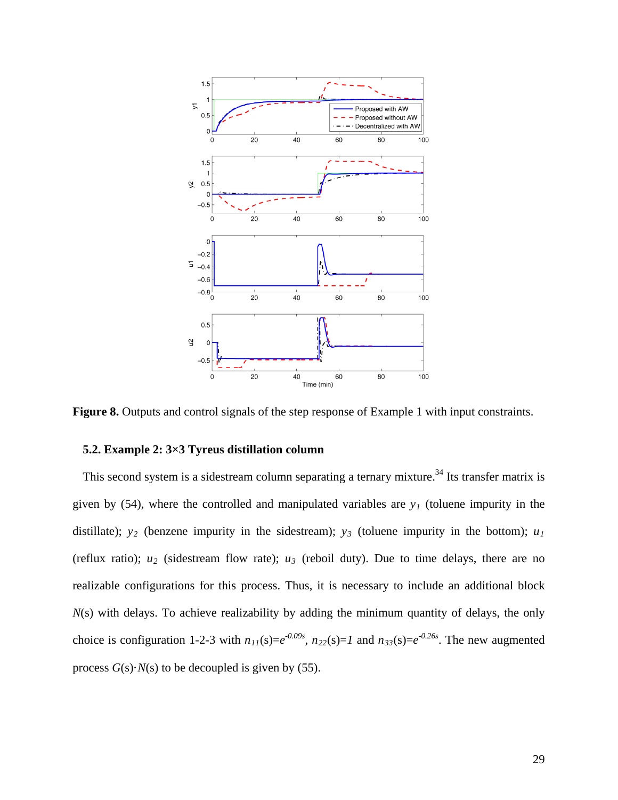

**Figure 8.** Outputs and control signals of the step response of Example 1 with input constraints.

# **5.2. Example 2: 3×3 Tyreus distillation column**

This second system is a sidestream column separating a ternary mixture.<sup>[34](#page-36-16)</sup> Its transfer matrix is given by (54), where the controlled and manipulated variables are  $y_1$  (toluene impurity in the distillate);  $y_2$  (benzene impurity in the sidestream);  $y_3$  (toluene impurity in the bottom);  $u_1$ (reflux ratio);  $u_2$  (sidestream flow rate);  $u_3$  (reboil duty). Due to time delays, there are no realizable configurations for this process. Thus, it is necessary to include an additional block *N*(s) with delays. To achieve realizability by adding the minimum quantity of delays, the only choice is configuration 1-2-3 with  $n_{11}(s) = e^{-0.09s}$ ,  $n_{22}(s) = 1$  and  $n_{33}(s) = e^{-0.26s}$ . The new augmented process  $G(s) \cdot N(s)$  to be decoupled is given by (55).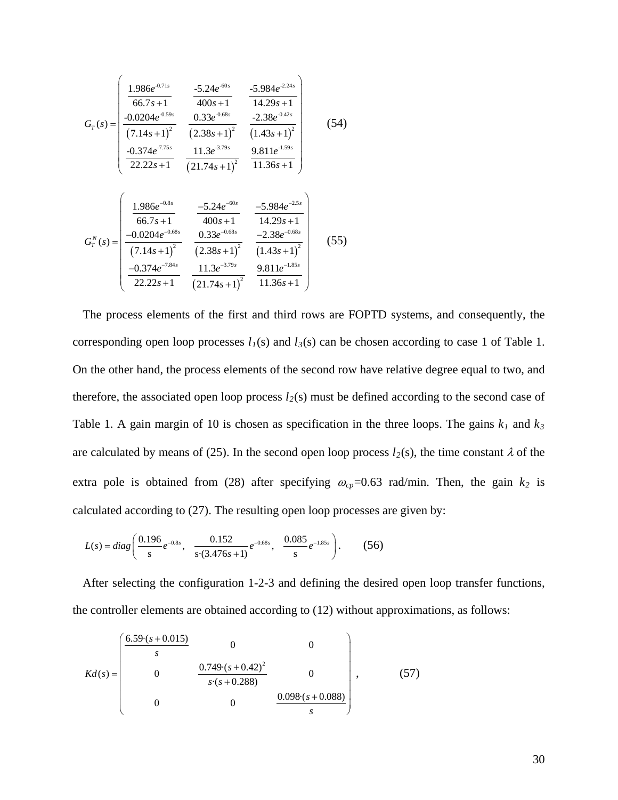$$
G_{T}(s) = \begin{pmatrix} \frac{1.986e^{-0.71s}}{66.7s+1} & \frac{-5.24e^{-60s}}{400s+1} & \frac{-5.984e^{-2.24s}}{14.29s+1} \\ \frac{-0.0204e^{-0.59s}}{(7.14s+1)^{2}} & \frac{0.33e^{-0.68s}}{(2.38s+1)^{2}} & \frac{-2.38e^{-0.42s}}{(1.43s+1)^{2}} \\ \frac{-0.374e^{-7.75s}}{22.22s+1} & \frac{11.3e^{-3.79s}}{(21.74s+1)^{2}} & \frac{9.811e^{-1.59s}}{11.36s+1} \\ \frac{1.986e^{-0.8s}}{66.7s+1} & \frac{-5.24e^{-60s}}{400s+1} & \frac{-5.984e^{-2.5s}}{14.29s+1} \\ \frac{-0.0204e^{-0.68s}}{(7.14s+1)^{2}} & \frac{0.33e^{-0.68s}}{(2.38s+1)^{2}} & \frac{-2.38e^{-0.68s}}{(1.43s+1)^{2}} \\ \frac{-0.374e^{-7.84s}}{22.22s+1} & \frac{11.3e^{-3.79s}}{(21.74s+1)^{2}} & \frac{9.811e^{-1.85s}}{11.36s+1} \end{pmatrix}
$$
(55)

The process elements of the first and third rows are FOPTD systems, and consequently, the corresponding open loop processes  $l_1(s)$  and  $l_3(s)$  can be chosen according to case 1 of Table 1. On the other hand, the process elements of the second row have relative degree equal to two, and therefore, the associated open loop process  $l_2(s)$  must be defined according to the second case of Table 1. A gain margin of 10 is chosen as specification in the three loops. The gains  $k_1$  and  $k_3$ are calculated by means of (25). In the second open loop process  $l_2(s)$ , the time constant  $\lambda$  of the extra pole is obtained from (28) after specifying  $\omega_{cp}$ =0.63 rad/min. Then, the gain  $k_2$  is calculated according to (27). The resulting open loop processes are given by:

$$
L(s) = diag\left(\frac{0.196}{s}e^{-0.8s}, \frac{0.152}{s \cdot (3.476s + 1)}e^{-0.68s}, \frac{0.085}{s}e^{-1.85s}\right).
$$
 (56)

After selecting the configuration 1-2-3 and defining the desired open loop transfer functions, the controller elements are obtained according to (12) without approximations, as follows:

$$
Kd(s) = \begin{pmatrix} \frac{6.59 \cdot (s + 0.015)}{s} & 0 & 0\\ 0 & \frac{0.749 \cdot (s + 0.42)^2}{s \cdot (s + 0.288)} & 0\\ 0 & 0 & \frac{0.098 \cdot (s + 0.088)}{s} \end{pmatrix},
$$
(57)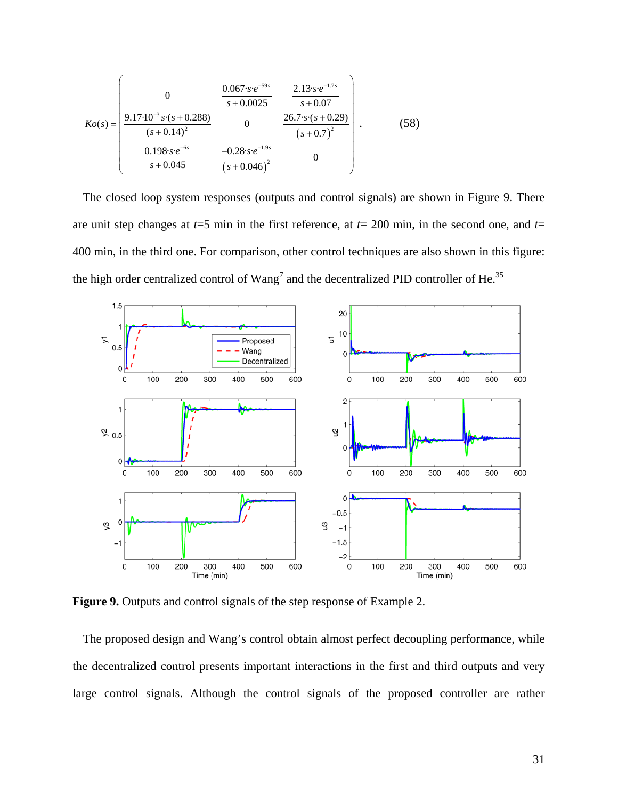$$
Ko(s) = \begin{pmatrix} 0 & \frac{0.067 \cdot s \cdot e^{-59s}}{s + 0.0025} & \frac{2.13 \cdot s \cdot e^{-1.7s}}{s + 0.07} \\ \frac{9.17 \cdot 10^{-3} s \cdot (s + 0.288)}{(s + 0.14)^{2}} & 0 & \frac{26.7 \cdot s \cdot (s + 0.29)}{(s + 0.7)^{2}} \\ \frac{0.198 \cdot s \cdot e^{-6s}}{s + 0.045} & \frac{-0.28 \cdot s \cdot e^{-1.9s}}{(s + 0.046)^{2}} & 0 \end{pmatrix}.
$$
(58)

The closed loop system responses (outputs and control signals) are shown in Figure 9. There are unit step changes at *t*=5 min in the first reference, at *t*= 200 min, in the second one, and *t*= 400 min, in the third one. For comparison, other control techniques are also shown in this figure: the high order centralized control of  $Wang^7$  and the decentralized PID controller of He.<sup>[35](#page-36-17)</sup>



**Figure 9.** Outputs and control signals of the step response of Example 2.

The proposed design and Wang's control obtain almost perfect decoupling performance, while the decentralized control presents important interactions in the first and third outputs and very large control signals. Although the control signals of the proposed controller are rather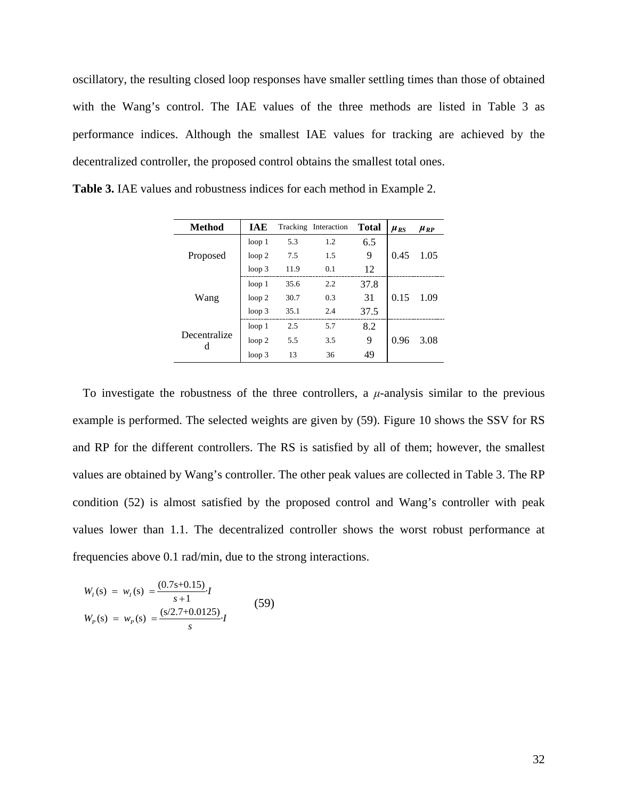oscillatory, the resulting closed loop responses have smaller settling times than those of obtained with the Wang's control. The IAE values of the three methods are listed in Table 3 as performance indices. Although the smallest IAE values for tracking are achieved by the decentralized controller, the proposed control obtains the smallest total ones.

| Method            | <b>IAE</b>        |      | Tracking Interaction | <b>Total</b> | $\mu_{RS}$ | $\mu_{RP}$ |
|-------------------|-------------------|------|----------------------|--------------|------------|------------|
| Proposed          | loop <sub>1</sub> | 5.3  | 1.2                  | 6.5          |            |            |
|                   | loop <sub>2</sub> | 7.5  | 1.5                  | 9            | 0.45       | 1.05       |
|                   | loop <sub>3</sub> | 11.9 | 0.1                  | 12           |            |            |
| Wang              | loop <sub>1</sub> | 35.6 | 2.2                  | 37.8         |            |            |
|                   | loop <sub>2</sub> | 30.7 | 0.3                  | 31           | 0.15       | 1.09       |
|                   | loop <sub>3</sub> | 35.1 | 2.4                  | 37.5         |            |            |
|                   | loop <sub>1</sub> | 2.5  | 5.7                  | 8.2          |            |            |
| Decentralize<br>d | loop <sub>2</sub> | 5.5  | 3.5                  | 9            | 0.96       | 3.08       |
|                   | loop <sub>3</sub> | 13   | 36                   | 49           |            |            |

**Table 3.** IAE values and robustness indices for each method in Example 2.

To investigate the robustness of the three controllers, a  $\mu$ -analysis similar to the previous example is performed. The selected weights are given by (59). Figure 10 shows the SSV for RS and RP for the different controllers. The RS is satisfied by all of them; however, the smallest values are obtained by Wang's controller. The other peak values are collected in Table 3. The RP condition (52) is almost satisfied by the proposed control and Wang's controller with peak values lower than 1.1. The decentralized controller shows the worst robust performance at frequencies above 0.1 rad/min, due to the strong interactions.

$$
W_t(s) = w_t(s) = \frac{(0.7s+0.15)}{s+1}I
$$
  
\n
$$
W_p(s) = w_p(s) = \frac{(s/2.7+0.0125)}{s}I
$$
\n(59)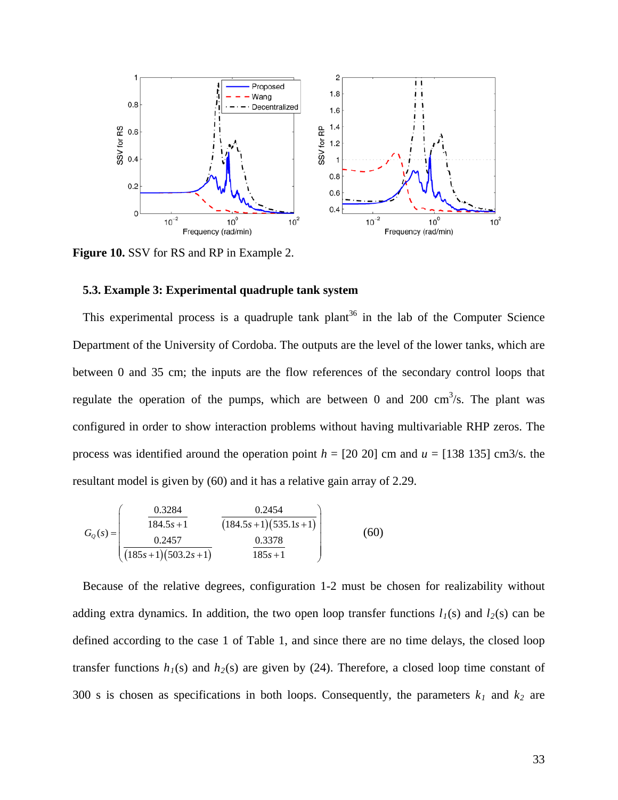

**Figure 10.** SSV for RS and RP in Example 2.

# **5.3. Example 3: Experimental quadruple tank system**

This experimental process is a quadruple tank plant<sup>[36](#page-36-18)</sup> in the lab of the Computer Science Department of the University of Cordoba. The outputs are the level of the lower tanks, which are between 0 and 35 cm; the inputs are the flow references of the secondary control loops that regulate the operation of the pumps, which are between 0 and 200  $\text{cm}^3\text{/s}$ . The plant was configured in order to show interaction problems without having multivariable RHP zeros. The process was identified around the operation point  $h = [20 20]$  cm and  $u = [138 135]$  cm3/s. the resultant model is given by (60) and it has a relative gain array of 2.29.

$$
G_{Q}(s) = \begin{pmatrix} 0.3284 & 0.2454 \ 184.5s + 1 & (184.5s + 1)(535.1s + 1) \ 0.2457 & 0.3378 \ (185s + 1)(503.2s + 1) & 185s + 1 \end{pmatrix}
$$
(60)

Because of the relative degrees, configuration 1-2 must be chosen for realizability without adding extra dynamics. In addition, the two open loop transfer functions  $l_1(s)$  and  $l_2(s)$  can be defined according to the case 1 of Table 1, and since there are no time delays, the closed loop transfer functions  $h_1(s)$  and  $h_2(s)$  are given by (24). Therefore, a closed loop time constant of 300 s is chosen as specifications in both loops. Consequently, the parameters  $k_1$  and  $k_2$  are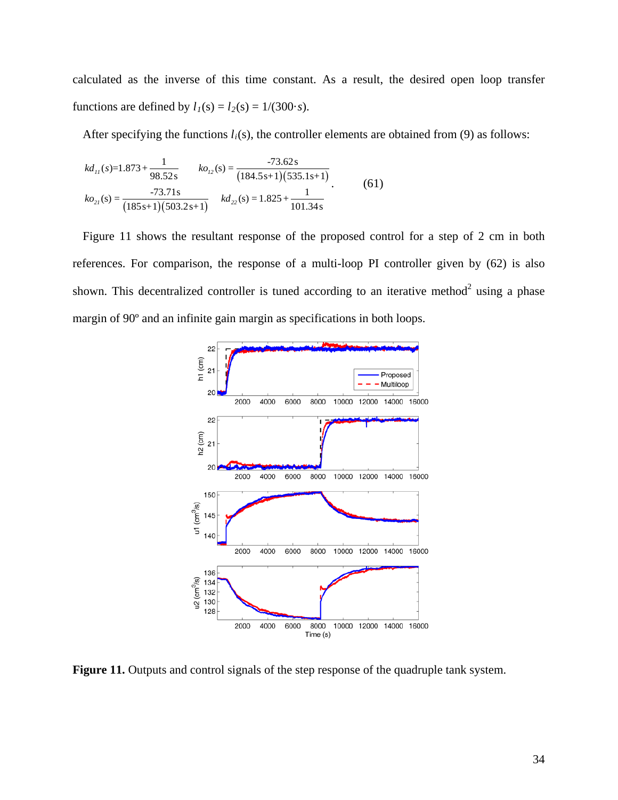calculated as the inverse of this time constant. As a result, the desired open loop transfer functions are defined by  $l_1(s) = l_2(s) = 1/(300 \cdot s)$ .

After specifying the functions  $l_i(s)$ , the controller elements are obtained from (9) as follows:

$$
kd_{11}(s)=1.873+\frac{1}{98.52 \text{ s}} \qquad ko_{12}(s)=\frac{-73.62 \text{ s}}{(184.5 \text{ s}+1)(535.1 \text{ s}+1)}
$$
  
\n
$$
ko_{21}(s)=\frac{-73.71 \text{ s}}{(185 \text{ s}+1)(503.2 \text{ s}+1)} \qquad kd_{22}(s)=1.825+\frac{1}{101.34 \text{ s}} \qquad (61)
$$

Figure 11 shows the resultant response of the proposed control for a step of 2 cm in both references. For comparison, the response of a multi-loop PI controller given by (62) is also shown. This decentralized controller is tuned according to an iterative method<sup>2</sup> using a phase margin of 90º and an infinite gain margin as specifications in both loops.



**Figure 11.** Outputs and control signals of the step response of the quadruple tank system.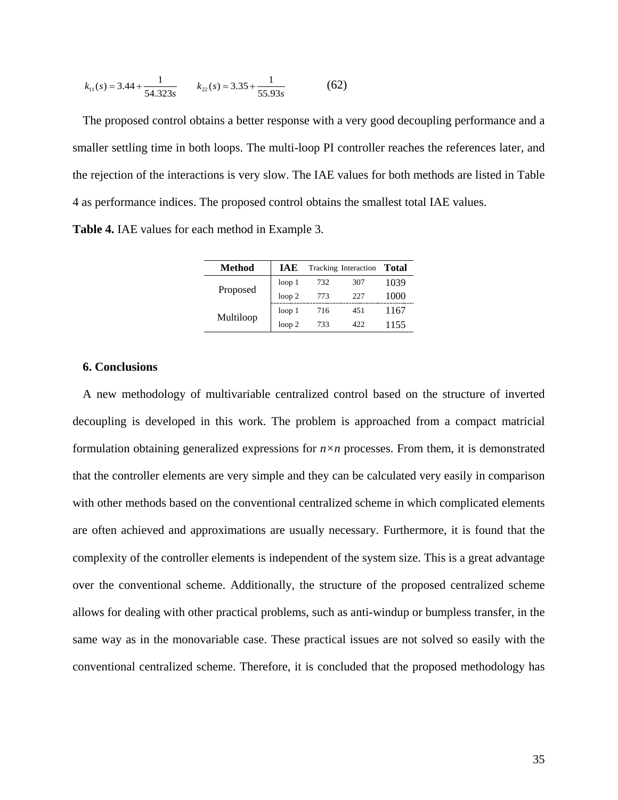$$
k_{11}(s) = 3.44 + \frac{1}{54.323s}
$$
  $k_{22}(s) = 3.35 + \frac{1}{55.93s}$  (62)

The proposed control obtains a better response with a very good decoupling performance and a smaller settling time in both loops. The multi-loop PI controller reaches the references later, and the rejection of the interactions is very slow. The IAE values for both methods are listed in Table 4 as performance indices. The proposed control obtains the smallest total IAE values.

**Table 4.** IAE values for each method in Example 3.

| Method    | <b>IAE</b>        |     | Tracking Interaction | <b>Total</b> |
|-----------|-------------------|-----|----------------------|--------------|
|           | loop <sub>1</sub> | 732 | 307                  | 1039         |
| Proposed  | loop <sub>2</sub> | 773 | 227                  | 1000         |
|           | loop <sub>1</sub> | 716 | 451                  | 1167         |
| Multiloop | loop <sub>2</sub> | 733 | 422                  | 1155         |

# **6. Conclusions**

A new methodology of multivariable centralized control based on the structure of inverted decoupling is developed in this work. The problem is approached from a compact matricial formulation obtaining generalized expressions for  $n \times n$  processes. From them, it is demonstrated that the controller elements are very simple and they can be calculated very easily in comparison with other methods based on the conventional centralized scheme in which complicated elements are often achieved and approximations are usually necessary. Furthermore, it is found that the complexity of the controller elements is independent of the system size. This is a great advantage over the conventional scheme. Additionally, the structure of the proposed centralized scheme allows for dealing with other practical problems, such as anti-windup or bumpless transfer, in the same way as in the monovariable case. These practical issues are not solved so easily with the conventional centralized scheme. Therefore, it is concluded that the proposed methodology has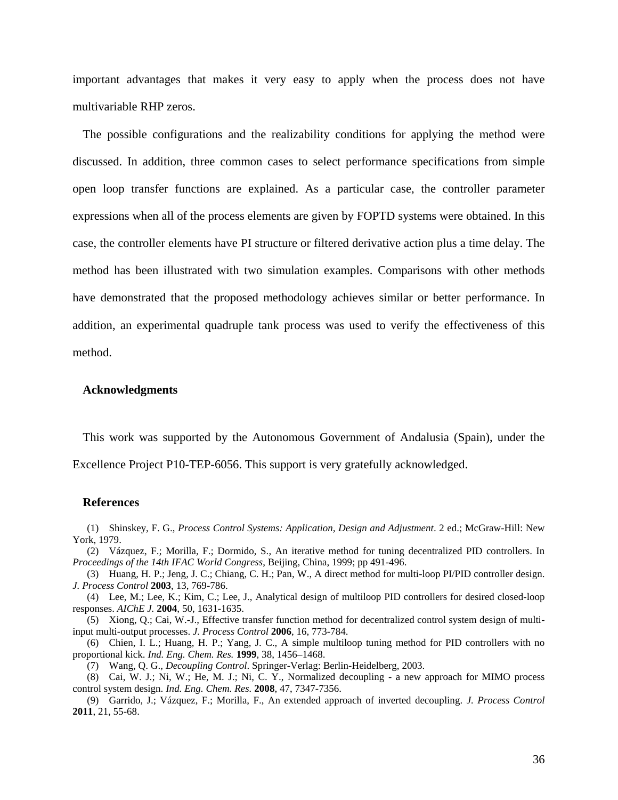important advantages that makes it very easy to apply when the process does not have multivariable RHP zeros.

The possible configurations and the realizability conditions for applying the method were discussed. In addition, three common cases to select performance specifications from simple open loop transfer functions are explained. As a particular case, the controller parameter expressions when all of the process elements are given by FOPTD systems were obtained. In this case, the controller elements have PI structure or filtered derivative action plus a time delay. The method has been illustrated with two simulation examples. Comparisons with other methods have demonstrated that the proposed methodology achieves similar or better performance. In addition, an experimental quadruple tank process was used to verify the effectiveness of this method.

#### **Acknowledgments**

This work was supported by the Autonomous Government of Andalusia (Spain), under the Excellence Project P10-TEP-6056. This support is very gratefully acknowledged.

#### **References**

<span id="page-35-0"></span>(1) Shinskey, F. G., *Process Control Systems: Application, Design and Adjustment*. 2 ed.; McGraw-Hill: New York, 1979.

<span id="page-35-1"></span>(2) Vázquez, F.; Morilla, F.; Dormido, S., An iterative method for tuning decentralized PID controllers. In *Proceedings of the 14th IFAC World Congress*, Beijing, China, 1999; pp 491-496.

(3) Huang, H. P.; Jeng, J. C.; Chiang, C. H.; Pan, W., A direct method for multi-loop PI/PID controller design. *J. Process Control* **2003**, 13, 769-786.

(4) Lee, M.; Lee, K.; Kim, C.; Lee, J., Analytical design of multiloop PID controllers for desired closed-loop responses. *AIChE J.* **2004**, 50, 1631-1635.

(5) Xiong, Q.; Cai, W.-J., Effective transfer function method for decentralized control system design of multiinput multi-output processes. *J. Process Control* **2006**, 16, 773-784.

(6) Chien, I. L.; Huang, H. P.; Yang, J. C., A simple multiloop tuning method for PID controllers with no proportional kick. *Ind. Eng. Chem. Res.* **1999**, 38, 1456–1468.

(7) Wang, Q. G., *Decoupling Control*. Springer-Verlag: Berlin-Heidelberg, 2003.

<span id="page-35-3"></span><span id="page-35-2"></span>(8) Cai, W. J.; Ni, W.; He, M. J.; Ni, C. Y., Normalized decoupling - a new approach for MIMO process control system design. *Ind. Eng. Chem. Res.* **2008**, 47, 7347-7356.

<span id="page-35-4"></span>(9) Garrido, J.; Vázquez, F.; Morilla, F., An extended approach of inverted decoupling. *J. Process Control*  **2011**, 21, 55-68.